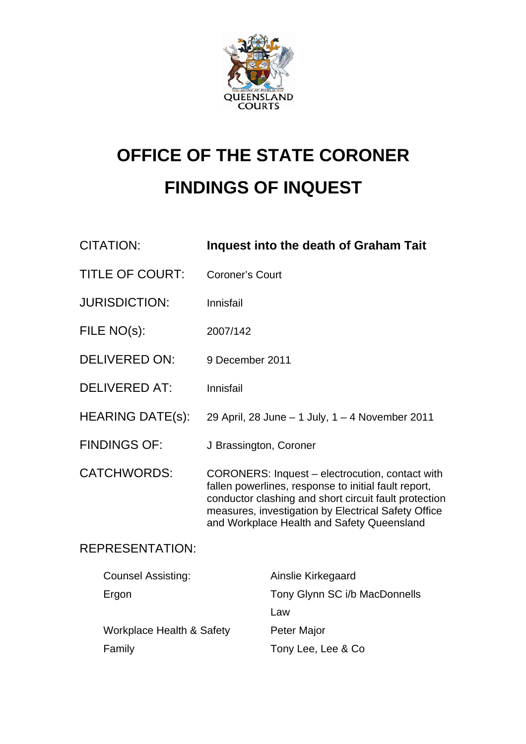

# **OFFICE OF THE STATE CORONER FINDINGS OF INQUEST**

| <b>CITATION:</b>          | <b>Inquest into the death of Graham Tait</b>                                                                                                                                                                                                                          |
|---------------------------|-----------------------------------------------------------------------------------------------------------------------------------------------------------------------------------------------------------------------------------------------------------------------|
| <b>TITLE OF COURT:</b>    | <b>Coroner's Court</b>                                                                                                                                                                                                                                                |
| <b>JURISDICTION:</b>      | Innisfail                                                                                                                                                                                                                                                             |
| FILE NO(s):               | 2007/142                                                                                                                                                                                                                                                              |
| <b>DELIVERED ON:</b>      | 9 December 2011                                                                                                                                                                                                                                                       |
| <b>DELIVERED AT:</b>      | Innisfail                                                                                                                                                                                                                                                             |
| <b>HEARING DATE(s):</b>   | 29 April, 28 June - 1 July, 1 - 4 November 2011                                                                                                                                                                                                                       |
| <b>FINDINGS OF:</b>       | J Brassington, Coroner                                                                                                                                                                                                                                                |
| <b>CATCHWORDS:</b>        | CORONERS: Inquest - electrocution, contact with<br>fallen powerlines, response to initial fault report,<br>conductor clashing and short circuit fault protection<br>measures, investigation by Electrical Safety Office<br>and Workplace Health and Safety Queensland |
| <b>REPRESENTATION:</b>    |                                                                                                                                                                                                                                                                       |
| <b>Counsel Assisting:</b> | Ainslie Kirkegaard                                                                                                                                                                                                                                                    |
| Ergon                     | Tony Glynn SC i/b MacDonnells                                                                                                                                                                                                                                         |

Workplace Health & Safety Peter Major Family **Family** Tony Lee, Lee & Co

Law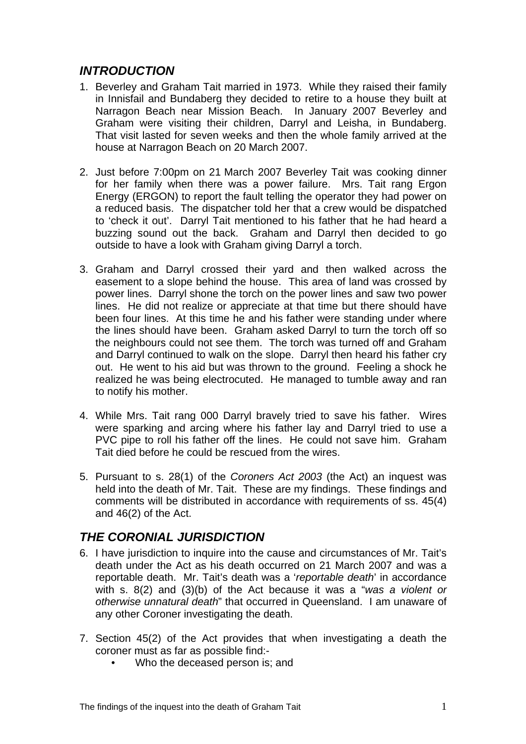# *INTRODUCTION*

- 1. Beverley and Graham Tait married in 1973. While they raised their family in Innisfail and Bundaberg they decided to retire to a house they built at Narragon Beach near Mission Beach. In January 2007 Beverley and Graham were visiting their children, Darryl and Leisha, in Bundaberg. That visit lasted for seven weeks and then the whole family arrived at the house at Narragon Beach on 20 March 2007.
- 2. Just before 7:00pm on 21 March 2007 Beverley Tait was cooking dinner for her family when there was a power failure. Mrs. Tait rang Ergon Energy (ERGON) to report the fault telling the operator they had power on a reduced basis. The dispatcher told her that a crew would be dispatched to 'check it out'. Darryl Tait mentioned to his father that he had heard a buzzing sound out the back. Graham and Darryl then decided to go outside to have a look with Graham giving Darryl a torch.
- 3. Graham and Darryl crossed their yard and then walked across the easement to a slope behind the house. This area of land was crossed by power lines. Darryl shone the torch on the power lines and saw two power lines. He did not realize or appreciate at that time but there should have been four lines. At this time he and his father were standing under where the lines should have been. Graham asked Darryl to turn the torch off so the neighbours could not see them. The torch was turned off and Graham and Darryl continued to walk on the slope. Darryl then heard his father cry out. He went to his aid but was thrown to the ground. Feeling a shock he realized he was being electrocuted. He managed to tumble away and ran to notify his mother.
- 4. While Mrs. Tait rang 000 Darryl bravely tried to save his father. Wires were sparking and arcing where his father lay and Darryl tried to use a PVC pipe to roll his father off the lines. He could not save him. Graham Tait died before he could be rescued from the wires.
- 5. Pursuant to s. 28(1) of the *Coroners Act 2003* (the Act) an inquest was held into the death of Mr. Tait. These are my findings. These findings and comments will be distributed in accordance with requirements of ss. 45(4) and 46(2) of the Act.

# *THE CORONIAL JURISDICTION*

- 6. I have jurisdiction to inquire into the cause and circumstances of Mr. Tait's death under the Act as his death occurred on 21 March 2007 and was a reportable death. Mr. Tait's death was a '*reportable death*' in accordance with s. 8(2) and (3)(b) of the Act because it was a "*was a violent or otherwise unnatural death*" that occurred in Queensland. I am unaware of any other Coroner investigating the death.
- 7. Section 45(2) of the Act provides that when investigating a death the coroner must as far as possible find:-
	- Who the deceased person is; and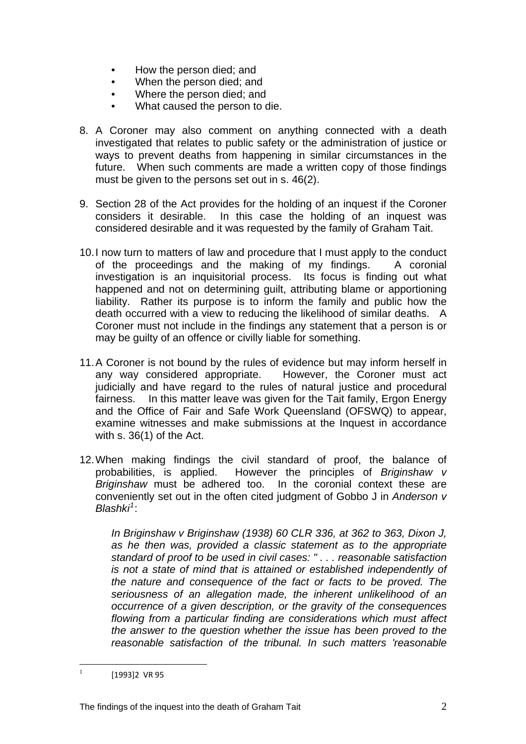- How the person died; and
- When the person died; and
- Where the person died; and
- What caused the person to die.
- 8. A Coroner may also comment on anything connected with a death investigated that relates to public safety or the administration of justice or ways to prevent deaths from happening in similar circumstances in the future. When such comments are made a written copy of those findings must be given to the persons set out in s. 46(2).
- 9. Section 28 of the Act provides for the holding of an inquest if the Coroner considers it desirable. In this case the holding of an inquest was considered desirable and it was requested by the family of Graham Tait.
- 10. I now turn to matters of law and procedure that I must apply to the conduct of the proceedings and the making of my findings. A coronial investigation is an inquisitorial process. Its focus is finding out what happened and not on determining guilt, attributing blame or apportioning liability. Rather its purpose is to inform the family and public how the death occurred with a view to reducing the likelihood of similar deaths. A Coroner must not include in the findings any statement that a person is or may be guilty of an offence or civilly liable for something.
- 11. A Coroner is not bound by the rules of evidence but may inform herself in any way considered appropriate. However, the Coroner must act judicially and have regard to the rules of natural justice and procedural fairness. In this matter leave was given for the Tait family, Ergon Energy and the Office of Fair and Safe Work Queensland (OFSWQ) to appear, examine witnesses and make submissions at the Inquest in accordance with s. 36(1) of the Act.
- 12. When making findings the civil standard of proof, the balance of probabilities, is applied. However the principles of *Briginshaw v Briginshaw* must be adhered too. In the coronial context these are conveniently set out in the often cited judgment of Gobbo J in *Anderson v Blashki[1](#page-2-0)* :

*In Briginshaw v Briginshaw (1938) 60 CLR 336, at 362 to 363, Dixon J, as he then was, provided a classic statement as to the appropriate standard of proof to be used in civil cases: " . . . reasonable satisfaction is not a state of mind that is attained or established independently of the nature and consequence of the fact or facts to be proved. The seriousness of an allegation made, the inherent unlikelihood of an occurrence of a given description, or the gravity of the consequences flowing from a particular finding are considerations which must affect the answer to the question whether the issue has been proved to the reasonable satisfaction of the tribunal. In such matters 'reasonable* 

<span id="page-2-0"></span> $\mathbf{1}$ [1993]2 VR 95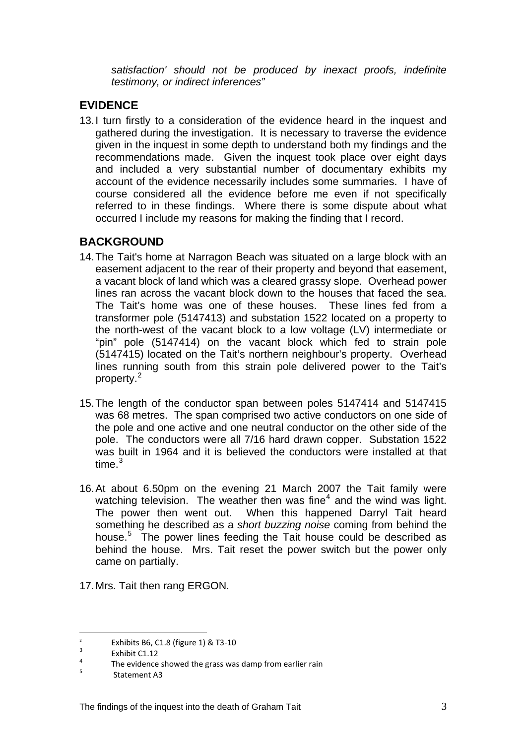*satisfaction' should not be produced by inexact proofs, indefinite testimony, or indirect inferences"* 

## **EVIDENCE**

13. I turn firstly to a consideration of the evidence heard in the inquest and gathered during the investigation. It is necessary to traverse the evidence given in the inquest in some depth to understand both my findings and the recommendations made. Given the inquest took place over eight days and included a very substantial number of documentary exhibits my account of the evidence necessarily includes some summaries. I have of course considered all the evidence before me even if not specifically referred to in these findings. Where there is some dispute about what occurred I include my reasons for making the finding that I record.

# **BACKGROUND**

- 14. The Tait's home at Narragon Beach was situated on a large block with an easement adjacent to the rear of their property and beyond that easement, a vacant block of land which was a cleared grassy slope. Overhead power lines ran across the vacant block down to the houses that faced the sea. The Tait's home was one of these houses. These lines fed from a transformer pole (5147413) and substation 1522 located on a property to the north-west of the vacant block to a low voltage (LV) intermediate or "pin" pole (5147414) on the vacant block which fed to strain pole (5147415) located on the Tait's northern neighbour's property. Overhead lines running south from this strain pole delivered power to the Tait's property.<sup>[2](#page-3-0)</sup>
- 15. The length of the conductor span between poles 5147414 and 5147415 was 68 metres. The span comprised two active conductors on one side of the pole and one active and one neutral conductor on the other side of the pole. The conductors were all 7/16 hard drawn copper. Substation 1522 was built in 1964 and it is believed the conductors were installed at that time. $^3\,$  $^3\,$  $^3\,$
- 16. At about 6.50pm on the evening 21 March 2007 the Tait family were watching television. The weather then was fine<sup>[4](#page-3-2)</sup> and the wind was light. The power then went out. When this happened Darryl Tait heard something he described as a *short buzzing noise* coming from behind the house.<sup>[5](#page-3-3)</sup> The power lines feeding the Tait house could be described as behind the house. Mrs. Tait reset the power switch but the power only came on partially.
- 17. Mrs. Tait then rang ERGON.

 $\overline{a}$ 

<span id="page-3-0"></span> $\overline{2}$ Exhibits B6, C1.8 (figure 1) & T3-10

<span id="page-3-1"></span> $\frac{3}{4}$  Exhibit C1.12

<span id="page-3-2"></span> $T_{\text{th}}$  The evidence showed the grass was damp from earlier rain

<span id="page-3-3"></span>Statement A3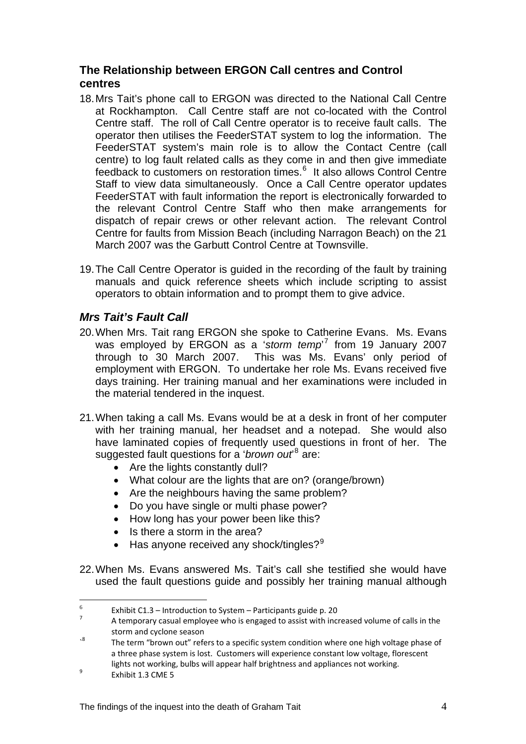## **The Relationship between ERGON Call centres and Control centres**

- 18. Mrs Tait's phone call to ERGON was directed to the National Call Centre at Rockhampton. Call Centre staff are not co-located with the Control Centre staff. The roll of Call Centre operator is to receive fault calls. The operator then utilises the FeederSTAT system to log the information. The FeederSTAT system's main role is to allow the Contact Centre (call centre) to log fault related calls as they come in and then give immediate feedback to customers on restoration times.<sup>[6](#page-4-0)</sup> It also allows Control Centre Staff to view data simultaneously. Once a Call Centre operator updates FeederSTAT with fault information the report is electronically forwarded to the relevant Control Centre Staff who then make arrangements for dispatch of repair crews or other relevant action. The relevant Control Centre for faults from Mission Beach (including Narragon Beach) on the 21 March 2007 was the Garbutt Control Centre at Townsville.
- 19. The Call Centre Operator is guided in the recording of the fault by training manuals and quick reference sheets which include scripting to assist operators to obtain information and to prompt them to give advice.

# *Mrs Tait's Fault Call*

- 20. When Mrs. Tait rang ERGON she spoke to Catherine Evans. Ms. Evans was employed by ERGON as a '*storm temp*' [7](#page-4-1) from 19 January 2007 through to 30 March 2007. This was Ms. Evans' only period of employment with ERGON. To undertake her role Ms. Evans received five days training. Her training manual and her examinations were included in the material tendered in the inquest.
- 21. When taking a call Ms. Evans would be at a desk in front of her computer with her training manual, her headset and a notepad. She would also have laminated copies of frequently used questions in front of her. The suggested fault questions for a '*brown out*<sup>[8](#page-4-2)</sup> are:
	- Are the lights constantly dull?
	- What colour are the lights that are on? (orange/brown)
	- Are the neighbours having the same problem?
	- Do you have single or multi phase power?
	- How long has your power been like this?
	- Is there a storm in the area?
	- Has anyone received any shock/tingles? $9^9$  $9^9$
- 22. When Ms. Evans answered Ms. Tait's call she testified she would have used the fault questions guide and possibly her training manual although

 $\overline{a}$ 

<span id="page-4-0"></span><sup>6</sup> Exhibit C1.3 – Introduction to System – Participants guide p. 20

<span id="page-4-1"></span> A temporary casual employee who is engaged to assist with increased volume of calls in the storm and cyclone season

<span id="page-4-2"></span> $\cdot$ <sup>8</sup> The term "brown out" refers to a specific system condition where one high voltage phase of a three phase system is lost. Customers will experience constant low voltage, florescent lights not working, bulbs will appear half brightness and appliances not working.

<span id="page-4-3"></span> Exhibit 1.3 CME 5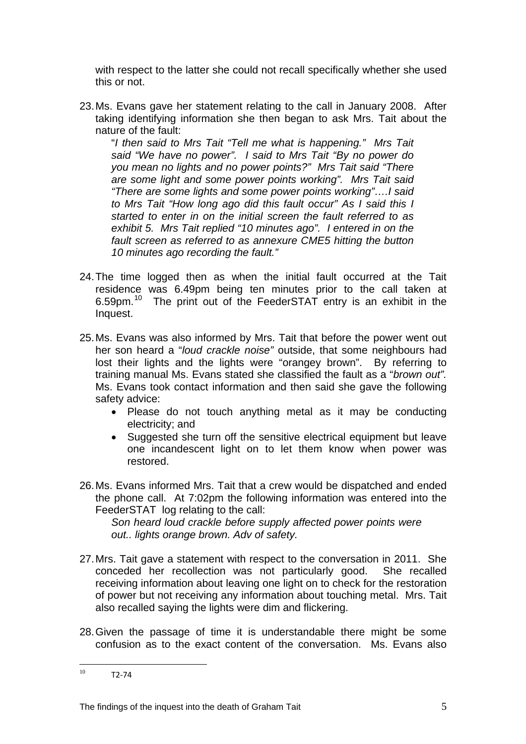with respect to the latter she could not recall specifically whether she used this or not.

23. Ms. Evans gave her statement relating to the call in January 2008. After taking identifying information she then began to ask Mrs. Tait about the nature of the fault:

"*I then said to Mrs Tait "Tell me what is happening." Mrs Tait said "We have no power". I said to Mrs Tait "By no power do you mean no lights and no power points?" Mrs Tait said "There are some light and some power points working". Mrs Tait said "There are some lights and some power points working"….I said to Mrs Tait "How long ago did this fault occur" As I said this I started to enter in on the initial screen the fault referred to as exhibit 5. Mrs Tait replied "10 minutes ago". I entered in on the*  fault screen as referred to as annexure CME5 hitting the button *10 minutes ago recording the fault."* 

- 24. The time logged then as when the initial fault occurred at the Tait residence was 6.49pm being ten minutes prior to the call taken at 6.59pm.[10](#page-5-0) The print out of the FeederSTAT entry is an exhibit in the Inquest.
- 25. Ms. Evans was also informed by Mrs. Tait that before the power went out her son heard a "*loud crackle noise"* outside, that some neighbours had lost their lights and the lights were "orangey brown". By referring to training manual Ms. Evans stated she classified the fault as a "*brown out".* Ms. Evans took contact information and then said she gave the following safety advice:
	- Please do not touch anything metal as it may be conducting electricity; and
	- Suggested she turn off the sensitive electrical equipment but leave one incandescent light on to let them know when power was restored.
- 26. Ms. Evans informed Mrs. Tait that a crew would be dispatched and ended the phone call. At 7:02pm the following information was entered into the FeederSTAT log relating to the call:

*Son heard loud crackle before supply affected power points were out.. lights orange brown. Adv of safety.* 

- 27. Mrs. Tait gave a statement with respect to the conversation in 2011. She conceded her recollection was not particularly good. She recalled receiving information about leaving one light on to check for the restoration of power but not receiving any information about touching metal. Mrs. Tait also recalled saying the lights were dim and flickering.
- 28. Given the passage of time it is understandable there might be some confusion as to the exact content of the conversation. Ms. Evans also

<span id="page-5-0"></span> $10<sup>1</sup>$  $T2 - 74$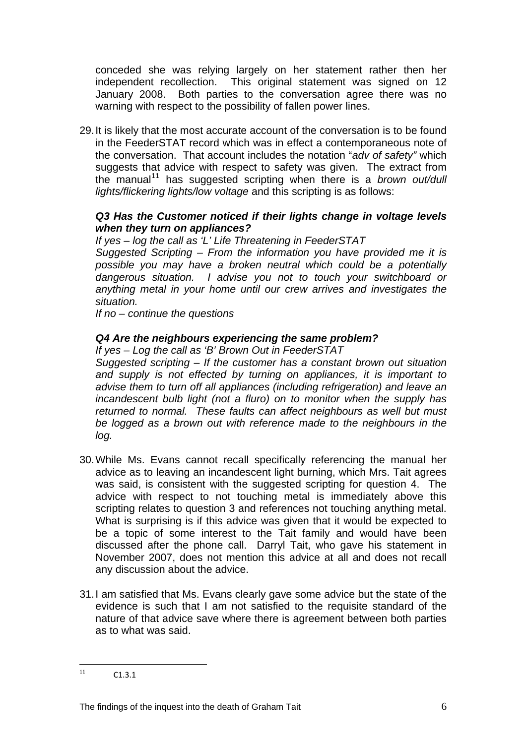conceded she was relying largely on her statement rather then her independent recollection. This original statement was signed on 12 January 2008. Both parties to the conversation agree there was no warning with respect to the possibility of fallen power lines.

29. It is likely that the most accurate account of the conversation is to be found in the FeederSTAT record which was in effect a contemporaneous note of the conversation. That account includes the notation "*adv of safety"* which suggests that advice with respect to safety was given. The extract from the manual[11](#page-6-0) has suggested scripting when there is a *brown out/dull lights/flickering lights/low voltage* and this scripting is as follows:

#### *Q3 Has the Customer noticed if their lights change in voltage levels when they turn on appliances?*

*If yes – log the call as 'L' Life Threatening in FeederSTAT* 

*Suggested Scripting – From the information you have provided me it is possible you may have a broken neutral which could be a potentially dangerous situation. I advise you not to touch your switchboard or anything metal in your home until our crew arrives and investigates the situation.* 

*If no – continue the questions* 

#### *Q4 Are the neighbours experiencing the same problem?*

*If yes – Log the call as 'B' Brown Out in FeederSTAT* 

*Suggested scripting – If the customer has a constant brown out situation and supply is not effected by turning on appliances, it is important to advise them to turn off all appliances (including refrigeration) and leave an incandescent bulb light (not a fluro) on to monitor when the supply has returned to normal. These faults can affect neighbours as well but must be logged as a brown out with reference made to the neighbours in the log.* 

- 30. While Ms. Evans cannot recall specifically referencing the manual her advice as to leaving an incandescent light burning, which Mrs. Tait agrees was said, is consistent with the suggested scripting for question 4. The advice with respect to not touching metal is immediately above this scripting relates to question 3 and references not touching anything metal. What is surprising is if this advice was given that it would be expected to be a topic of some interest to the Tait family and would have been discussed after the phone call. Darryl Tait, who gave his statement in November 2007, does not mention this advice at all and does not recall any discussion about the advice.
- 31. I am satisfied that Ms. Evans clearly gave some advice but the state of the evidence is such that I am not satisfied to the requisite standard of the nature of that advice save where there is agreement between both parties as to what was said.

<span id="page-6-0"></span> $11$  $C1.3.1$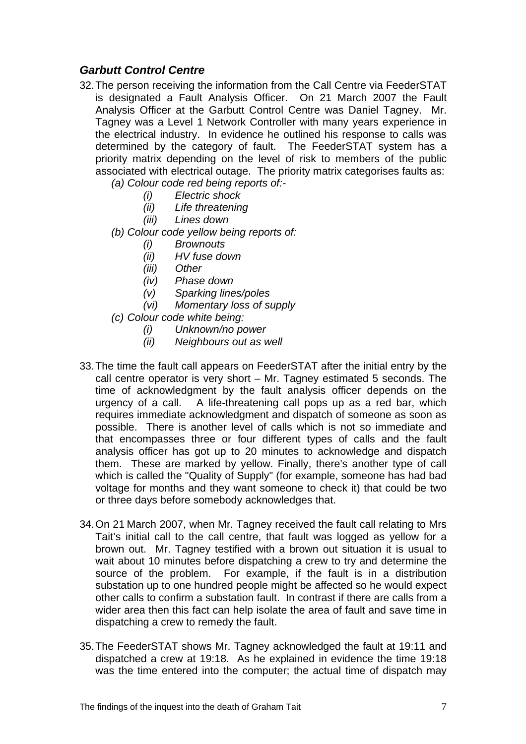## *Garbutt Control Centre*

- 32. The person receiving the information from the Call Centre via FeederSTAT is designated a Fault Analysis Officer. On 21 March 2007 the Fault Analysis Officer at the Garbutt Control Centre was Daniel Tagney. Mr. Tagney was a Level 1 Network Controller with many years experience in the electrical industry. In evidence he outlined his response to calls was determined by the category of fault. The FeederSTAT system has a priority matrix depending on the level of risk to members of the public associated with electrical outage. The priority matrix categorises faults as:
	- *(a) Colour code red being reports of:-* 
		- *(i) Electric shock*
		- *(ii) Life threatening*
		- *(iii) Lines down*
	- *(b) Colour code yellow being reports of:* 
		- *(i) Brownouts*
		- *(ii) HV fuse down*
		- *(iii) Other*
		- *(iv) Phase down*
		- *(v) Sparking lines/poles*
		- *(vi) Momentary loss of supply*
	- *(c) Colour code white being:* 
		- *(i) Unknown/no power*
		- *(ii) Neighbours out as well*
- 33. The time the fault call appears on FeederSTAT after the initial entry by the call centre operator is very short – Mr. Tagney estimated 5 seconds. The time of acknowledgment by the fault analysis officer depends on the urgency of a call. A life-threatening call pops up as a red bar, which requires immediate acknowledgment and dispatch of someone as soon as possible. There is another level of calls which is not so immediate and that encompasses three or four different types of calls and the fault analysis officer has got up to 20 minutes to acknowledge and dispatch them. These are marked by yellow. Finally, there's another type of call which is called the "Quality of Supply" (for example, someone has had bad voltage for months and they want someone to check it) that could be two or three days before somebody acknowledges that.
- 34. On 21 March 2007, when Mr. Tagney received the fault call relating to Mrs Tait's initial call to the call centre, that fault was logged as yellow for a brown out. Mr. Tagney testified with a brown out situation it is usual to wait about 10 minutes before dispatching a crew to try and determine the source of the problem. For example, if the fault is in a distribution substation up to one hundred people might be affected so he would expect other calls to confirm a substation fault. In contrast if there are calls from a wider area then this fact can help isolate the area of fault and save time in dispatching a crew to remedy the fault.
- 35. The FeederSTAT shows Mr. Tagney acknowledged the fault at 19:11 and dispatched a crew at 19:18. As he explained in evidence the time 19:18 was the time entered into the computer; the actual time of dispatch may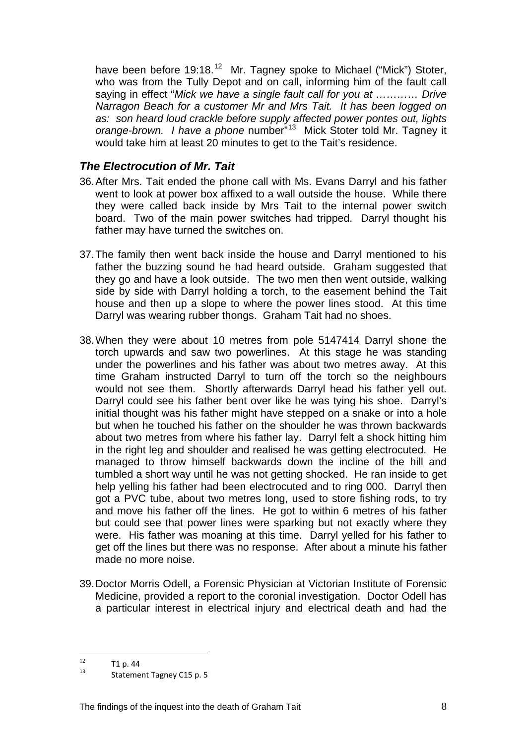have been before 19:18.<sup>[12](#page-8-0)</sup> Mr. Tagney spoke to Michael ("Mick") Stoter, who was from the Tully Depot and on call, informing him of the fault call saying in effect "*Mick we have a single fault call for you at ………… Drive Narragon Beach for a customer Mr and Mrs Tait. It has been logged on as: son heard loud crackle before supply affected power pontes out, lights orange-brown. I have a phone* number"[13](#page-8-1) Mick Stoter told Mr. Tagney it would take him at least 20 minutes to get to the Tait's residence.

# *The Electrocution of Mr. Tait*

- 36. After Mrs. Tait ended the phone call with Ms. Evans Darryl and his father went to look at power box affixed to a wall outside the house. While there they were called back inside by Mrs Tait to the internal power switch board. Two of the main power switches had tripped. Darryl thought his father may have turned the switches on.
- 37. The family then went back inside the house and Darryl mentioned to his father the buzzing sound he had heard outside. Graham suggested that they go and have a look outside. The two men then went outside, walking side by side with Darryl holding a torch, to the easement behind the Tait house and then up a slope to where the power lines stood. At this time Darryl was wearing rubber thongs. Graham Tait had no shoes.
- 38. When they were about 10 metres from pole 5147414 Darryl shone the torch upwards and saw two powerlines. At this stage he was standing under the powerlines and his father was about two metres away. At this time Graham instructed Darryl to turn off the torch so the neighbours would not see them. Shortly afterwards Darryl head his father yell out. Darryl could see his father bent over like he was tying his shoe. Darryl's initial thought was his father might have stepped on a snake or into a hole but when he touched his father on the shoulder he was thrown backwards about two metres from where his father lay. Darryl felt a shock hitting him in the right leg and shoulder and realised he was getting electrocuted. He managed to throw himself backwards down the incline of the hill and tumbled a short way until he was not getting shocked. He ran inside to get help yelling his father had been electrocuted and to ring 000. Darryl then got a PVC tube, about two metres long, used to store fishing rods, to try and move his father off the lines. He got to within 6 metres of his father but could see that power lines were sparking but not exactly where they were. His father was moaning at this time. Darryl yelled for his father to get off the lines but there was no response. After about a minute his father made no more noise.
- 39. Doctor Morris Odell, a Forensic Physician at Victorian Institute of Forensic Medicine, provided a report to the coronial investigation. Doctor Odell has a particular interest in electrical injury and electrical death and had the

 $12<sup>12</sup>$ 

<span id="page-8-1"></span><span id="page-8-0"></span> $\frac{12}{13}$  T1 p. 44<br>Statement Tagney C15 p. 5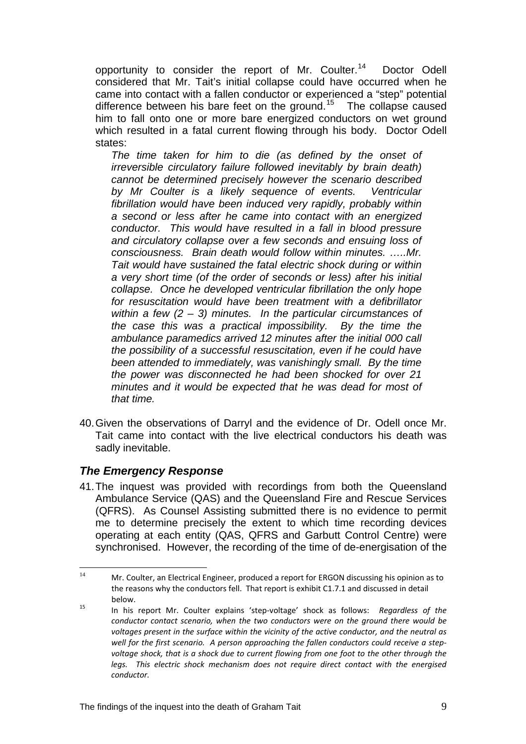opportunity to consider the report of Mr. Coulter.[14](#page-9-0) Doctor Odell considered that Mr. Tait's initial collapse could have occurred when he came into contact with a fallen conductor or experienced a "step" potential difference between his bare feet on the ground.<sup>[15](#page-9-1)</sup> The collapse caused him to fall onto one or more bare energized conductors on wet ground which resulted in a fatal current flowing through his body. Doctor Odell states:

*The time taken for him to die (as defined by the onset of irreversible circulatory failure followed inevitably by brain death) cannot be determined precisely however the scenario described by Mr Coulter is a likely sequence of events. Ventricular fibrillation would have been induced very rapidly, probably within a second or less after he came into contact with an energized conductor. This would have resulted in a fall in blood pressure and circulatory collapse over a few seconds and ensuing loss of consciousness. Brain death would follow within minutes. …..Mr. Tait would have sustained the fatal electric shock during or within a very short time (of the order of seconds or less) after his initial collapse. Once he developed ventricular fibrillation the only hope for resuscitation would have been treatment with a defibrillator within a few (2 – 3) minutes. In the particular circumstances of the case this was a practical impossibility. By the time the ambulance paramedics arrived 12 minutes after the initial 000 call the possibility of a successful resuscitation, even if he could have been attended to immediately, was vanishingly small. By the time the power was disconnected he had been shocked for over 21 minutes and it would be expected that he was dead for most of that time.* 

40. Given the observations of Darryl and the evidence of Dr. Odell once Mr. Tait came into contact with the live electrical conductors his death was sadly inevitable.

#### *The Emergency Response*

41. The inquest was provided with recordings from both the Queensland Ambulance Service (QAS) and the Queensland Fire and Rescue Services (QFRS). As Counsel Assisting submitted there is no evidence to permit me to determine precisely the extent to which time recording devices operating at each entity (QAS, QFRS and Garbutt Control Centre) were synchronised. However, the recording of the time of de-energisation of the

<span id="page-9-0"></span> $14$ 14 Mr. Coulter, an Electrical Engineer, produced a report for ERGON discussing his opinion as to the reasons why the conductors fell. That report is exhibit C1.7.1 and discussed in detail below. <sup>15</sup> In his report Mr. Coulter explains 'step‐voltage' shock as follows: *Regardless of the*

<span id="page-9-1"></span>*conductor contact scenario, when the two conductors were on the ground there would be voltages present in the surface within the vicinity of the active conductor, and the neutral as well for the first scenario. A person approaching the fallen conductors could receive a step‐ voltage shock, that is a shock due to current flowing from one foot to the other through the legs. This electric shock mechanism does not require direct contact with the energised conductor.*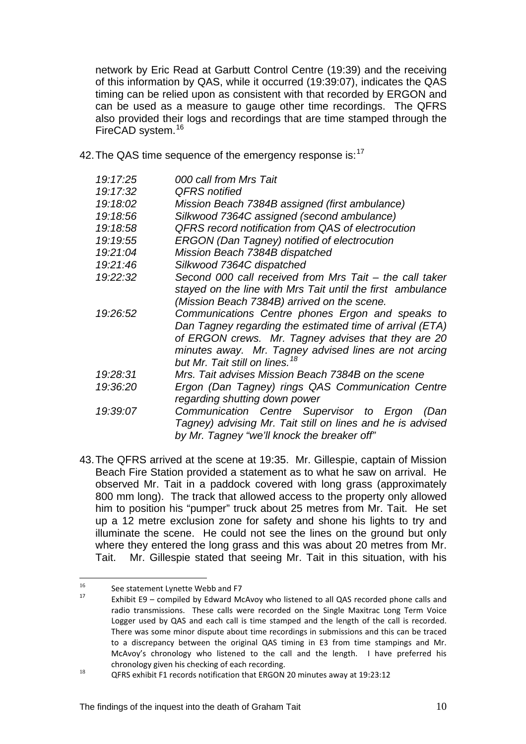network by Eric Read at Garbutt Control Centre (19:39) and the receiving of this information by QAS, while it occurred (19:39:07), indicates the QAS timing can be relied upon as consistent with that recorded by ERGON and can be used as a measure to gauge other time recordings. The QFRS also provided their logs and recordings that are time stamped through the FireCAD system.<sup>[16](#page-10-0)</sup>

42. The QAS time sequence of the emergency response is:<sup>[17](#page-10-1)</sup>

| 19:17:25 | 000 call from Mrs Tait                                     |
|----------|------------------------------------------------------------|
| 19:17:32 | <b>QFRS</b> notified                                       |
| 19:18:02 | Mission Beach 7384B assigned (first ambulance)             |
| 19:18:56 | Silkwood 7364C assigned (second ambulance)                 |
| 19:18:58 | QFRS record notification from QAS of electrocution         |
| 19:19:55 | ERGON (Dan Tagney) notified of electrocution               |
| 19:21:04 | Mission Beach 7384B dispatched                             |
| 19:21:46 | Silkwood 7364C dispatched                                  |
| 19:22:32 | Second 000 call received from Mrs Tait - the call taker    |
|          | stayed on the line with Mrs Tait until the first ambulance |
|          | (Mission Beach 7384B) arrived on the scene.                |
| 19:26:52 | Communications Centre phones Ergon and speaks to           |
|          | Dan Tagney regarding the estimated time of arrival (ETA)   |
|          | of ERGON crews. Mr. Tagney advises that they are 20        |
|          | minutes away. Mr. Tagney advised lines are not arcing      |
|          | but Mr. Tait still on lines. <sup>18</sup>                 |
| 19:28:31 | Mrs. Tait advises Mission Beach 7384B on the scene         |
| 19:36:20 | Ergon (Dan Tagney) rings QAS Communication Centre          |
|          | regarding shutting down power                              |
| 19:39:07 | Communication Centre Supervisor to Ergon<br>(Dan           |
|          | Tagney) advising Mr. Tait still on lines and he is advised |
|          | by Mr. Tagney "we'll knock the breaker off"                |

43. The QFRS arrived at the scene at 19:35. Mr. Gillespie, captain of Mission Beach Fire Station provided a statement as to what he saw on arrival. He observed Mr. Tait in a paddock covered with long grass (approximately 800 mm long). The track that allowed access to the property only allowed him to position his "pumper" truck about 25 metres from Mr. Tait. He set up a 12 metre exclusion zone for safety and shone his lights to try and illuminate the scene. He could not see the lines on the ground but only where they entered the long grass and this was about 20 metres from Mr. Tait. Mr. Gillespie stated that seeing Mr. Tait in this situation, with his

 $16$ 

<span id="page-10-1"></span><span id="page-10-0"></span><sup>&</sup>lt;sup>16</sup> See statement Lynette Webb and F7<br><sup>17</sup> Exhibit E9 – compiled by Edward McAvoy who listened to all QAS recorded phone calls and radio transmissions. These calls were recorded on the Single Maxitrac Long Term Voice Logger used by QAS and each call is time stamped and the length of the call is recorded. There was some minor dispute about time recordings in submissions and this can be traced to a discrepancy between the original QAS timing in E3 from time stampings and Mr. McAvoy's chronology who listened to the call and the length. I have preferred his chronology given his checking of each recording.<br>QFRS exhibit F1 records notification that ERGON 20 minutes away at 19:23:12

<span id="page-10-2"></span>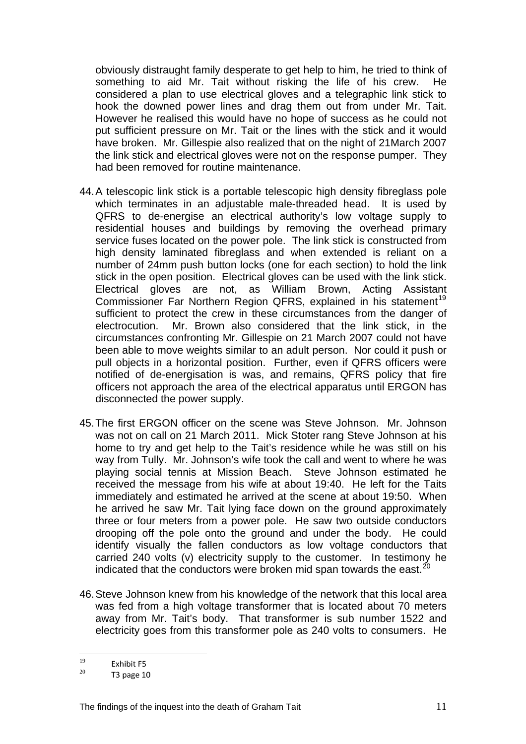obviously distraught family desperate to get help to him, he tried to think of something to aid Mr. Tait without risking the life of his crew. He considered a plan to use electrical gloves and a telegraphic link stick to hook the downed power lines and drag them out from under Mr. Tait. However he realised this would have no hope of success as he could not put sufficient pressure on Mr. Tait or the lines with the stick and it would have broken. Mr. Gillespie also realized that on the night of 21March 2007 the link stick and electrical gloves were not on the response pumper. They had been removed for routine maintenance.

- 44. A telescopic link stick is a portable telescopic high density fibreglass pole which terminates in an adjustable male-threaded head. It is used by QFRS to de-energise an electrical authority's low voltage supply to residential houses and buildings by removing the overhead primary service fuses located on the power pole. The link stick is constructed from high density laminated fibreglass and when extended is reliant on a number of 24mm push button locks (one for each section) to hold the link stick in the open position. Electrical gloves can be used with the link stick. Electrical gloves are not, as William Brown, Acting Assistant Commissioner Far Northern Region QFRS, explained in his statement<sup>[19](#page-11-0)</sup> sufficient to protect the crew in these circumstances from the danger of electrocution. Mr. Brown also considered that the link stick, in the circumstances confronting Mr. Gillespie on 21 March 2007 could not have been able to move weights similar to an adult person. Nor could it push or pull objects in a horizontal position. Further, even if QFRS officers were notified of de-energisation is was, and remains, QFRS policy that fire officers not approach the area of the electrical apparatus until ERGON has disconnected the power supply.
- 45. The first ERGON officer on the scene was Steve Johnson. Mr. Johnson was not on call on 21 March 2011. Mick Stoter rang Steve Johnson at his home to try and get help to the Tait's residence while he was still on his way from Tully. Mr. Johnson's wife took the call and went to where he was playing social tennis at Mission Beach. Steve Johnson estimated he received the message from his wife at about 19:40. He left for the Taits immediately and estimated he arrived at the scene at about 19:50. When he arrived he saw Mr. Tait lying face down on the ground approximately three or four meters from a power pole. He saw two outside conductors drooping off the pole onto the ground and under the body. He could identify visually the fallen conductors as low voltage conductors that carried 240 volts (v) electricity supply to the customer. In testimony he indicated that the conductors were broken mid span towards the east.<sup>[20](#page-11-1)</sup>
- 46. Steve Johnson knew from his knowledge of the network that this local area was fed from a high voltage transformer that is located about 70 meters away from Mr. Tait's body. That transformer is sub number 1522 and electricity goes from this transformer pole as 240 volts to consumers. He

<sup>19</sup> 

<span id="page-11-1"></span><span id="page-11-0"></span> $\frac{19}{20}$  Exhibit F5<br>T3 page 10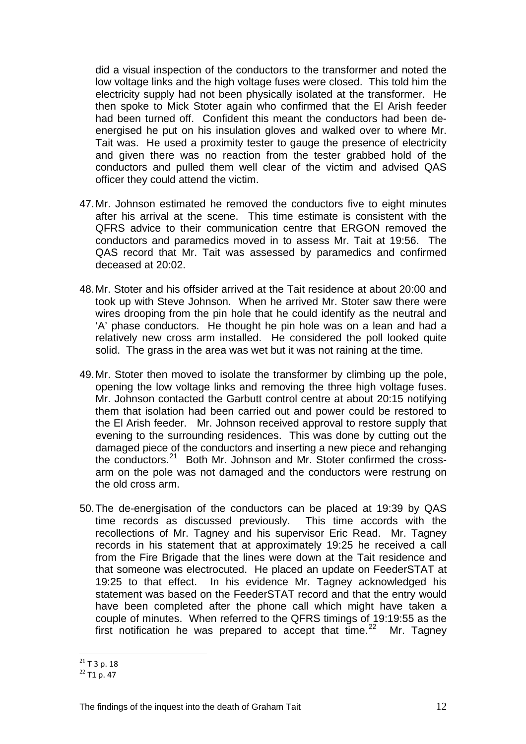did a visual inspection of the conductors to the transformer and noted the low voltage links and the high voltage fuses were closed. This told him the electricity supply had not been physically isolated at the transformer. He then spoke to Mick Stoter again who confirmed that the El Arish feeder had been turned off. Confident this meant the conductors had been deenergised he put on his insulation gloves and walked over to where Mr. Tait was. He used a proximity tester to gauge the presence of electricity and given there was no reaction from the tester grabbed hold of the conductors and pulled them well clear of the victim and advised QAS officer they could attend the victim.

- 47. Mr. Johnson estimated he removed the conductors five to eight minutes after his arrival at the scene. This time estimate is consistent with the QFRS advice to their communication centre that ERGON removed the conductors and paramedics moved in to assess Mr. Tait at 19:56. The QAS record that Mr. Tait was assessed by paramedics and confirmed deceased at 20:02.
- 48. Mr. Stoter and his offsider arrived at the Tait residence at about 20:00 and took up with Steve Johnson. When he arrived Mr. Stoter saw there were wires drooping from the pin hole that he could identify as the neutral and 'A' phase conductors. He thought he pin hole was on a lean and had a relatively new cross arm installed. He considered the poll looked quite solid. The grass in the area was wet but it was not raining at the time.
- 49. Mr. Stoter then moved to isolate the transformer by climbing up the pole, opening the low voltage links and removing the three high voltage fuses. Mr. Johnson contacted the Garbutt control centre at about 20:15 notifying them that isolation had been carried out and power could be restored to the El Arish feeder. Mr. Johnson received approval to restore supply that evening to the surrounding residences. This was done by cutting out the damaged piece of the conductors and inserting a new piece and rehanging the conductors.[21](#page-12-0) Both Mr. Johnson and Mr. Stoter confirmed the crossarm on the pole was not damaged and the conductors were restrung on the old cross arm.
- 50. The de-energisation of the conductors can be placed at 19:39 by QAS time records as discussed previously. This time accords with the recollections of Mr. Tagney and his supervisor Eric Read. Mr. Tagney records in his statement that at approximately 19:25 he received a call from the Fire Brigade that the lines were down at the Tait residence and that someone was electrocuted. He placed an update on FeederSTAT at 19:25 to that effect. In his evidence Mr. Tagney acknowledged his statement was based on the FeederSTAT record and that the entry would have been completed after the phone call which might have taken a couple of minutes. When referred to the QFRS timings of 19:19:55 as the first notification he was prepared to accept that time.<sup>[22](#page-12-1)</sup> Mr. Tagney

 $\overline{a}$ 

<span id="page-12-1"></span><span id="page-12-0"></span><sup>&</sup>lt;sup>21</sup> T 3 p. 18<br><sup>22</sup> T1 p. 47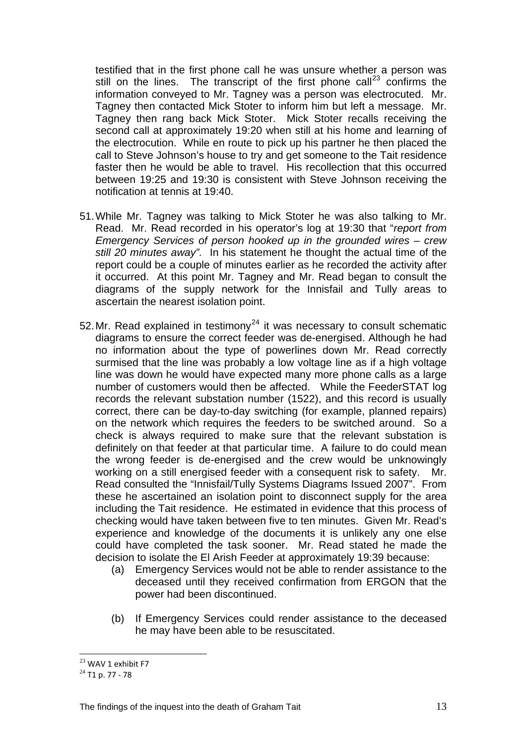testified that in the first phone call he was unsure whether a person was still on the lines. The transcript of the first phone call<sup>[23](#page-13-0)</sup> confirms the information conveyed to Mr. Tagney was a person was electrocuted. Mr. Tagney then contacted Mick Stoter to inform him but left a message. Mr. Tagney then rang back Mick Stoter. Mick Stoter recalls receiving the second call at approximately 19:20 when still at his home and learning of the electrocution. While en route to pick up his partner he then placed the call to Steve Johnson's house to try and get someone to the Tait residence faster then he would be able to travel. His recollection that this occurred between 19:25 and 19:30 is consistent with Steve Johnson receiving the notification at tennis at 19:40.

- 51. While Mr. Tagney was talking to Mick Stoter he was also talking to Mr. Read. Mr. Read recorded in his operator's log at 19:30 that "*report from Emergency Services of person hooked up in the grounded wires – crew still 20 minutes away".* In his statement he thought the actual time of the report could be a couple of minutes earlier as he recorded the activity after it occurred. At this point Mr. Tagney and Mr. Read began to consult the diagrams of the supply network for the Innisfail and Tully areas to ascertain the nearest isolation point.
- 52. Mr. Read explained in testimonv<sup>[24](#page-13-1)</sup> it was necessary to consult schematic diagrams to ensure the correct feeder was de-energised. Although he had no information about the type of powerlines down Mr. Read correctly surmised that the line was probably a low voltage line as if a high voltage line was down he would have expected many more phone calls as a large number of customers would then be affected. While the FeederSTAT log records the relevant substation number (1522), and this record is usually correct, there can be day-to-day switching (for example, planned repairs) on the network which requires the feeders to be switched around. So a check is always required to make sure that the relevant substation is definitely on that feeder at that particular time. A failure to do could mean the wrong feeder is de-energised and the crew would be unknowingly working on a still energised feeder with a consequent risk to safety. Mr. Read consulted the "Innisfail/Tully Systems Diagrams Issued 2007". From these he ascertained an isolation point to disconnect supply for the area including the Tait residence. He estimated in evidence that this process of checking would have taken between five to ten minutes. Given Mr. Read's experience and knowledge of the documents it is unlikely any one else could have completed the task sooner. Mr. Read stated he made the decision to isolate the El Arish Feeder at approximately 19:39 because:
	- (a) Emergency Services would not be able to render assistance to the deceased until they received confirmation from ERGON that the power had been discontinued.
	- (b) If Emergency Services could render assistance to the deceased he may have been able to be resuscitated.

 $\overline{a}$ 

<span id="page-13-1"></span><span id="page-13-0"></span> $^{23}$  WAV 1 exhibit F7<br> $^{24}$  T1 p. 77 - 78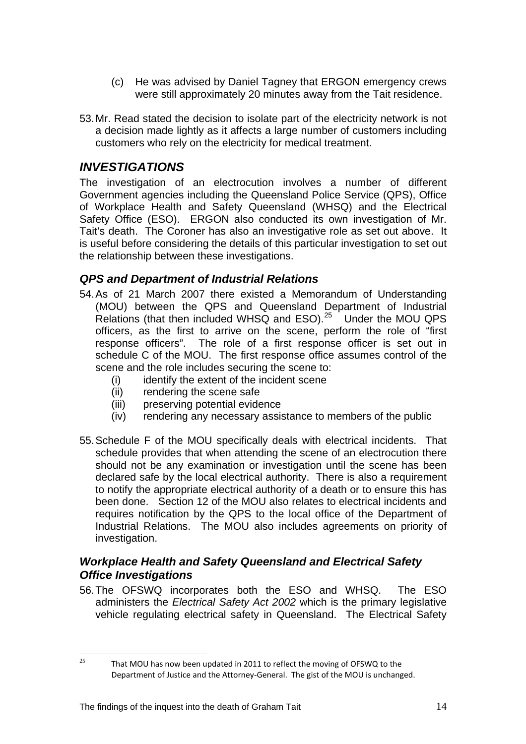- (c) He was advised by Daniel Tagney that ERGON emergency crews were still approximately 20 minutes away from the Tait residence.
- 53. Mr. Read stated the decision to isolate part of the electricity network is not a decision made lightly as it affects a large number of customers including customers who rely on the electricity for medical treatment.

# *INVESTIGATIONS*

The investigation of an electrocution involves a number of different Government agencies including the Queensland Police Service (QPS), Office of Workplace Health and Safety Queensland (WHSQ) and the Electrical Safety Office (ESO). ERGON also conducted its own investigation of Mr. Tait's death. The Coroner has also an investigative role as set out above. It is useful before considering the details of this particular investigation to set out the relationship between these investigations.

#### *QPS and Department of Industrial Relations*

- 54. As of 21 March 2007 there existed a Memorandum of Understanding (MOU) between the QPS and Queensland Department of Industrial Relations (that then included WHSQ and ESO).<sup>[25](#page-14-0)</sup> Under the MOU QPS officers, as the first to arrive on the scene, perform the role of "first response officers". The role of a first response officer is set out in schedule C of the MOU. The first response office assumes control of the scene and the role includes securing the scene to:
	- (i) identify the extent of the incident scene
	- (ii) rendering the scene safe
	- (iii) preserving potential evidence
	- (iv) rendering any necessary assistance to members of the public
- 55. Schedule F of the MOU specifically deals with electrical incidents. That schedule provides that when attending the scene of an electrocution there should not be any examination or investigation until the scene has been declared safe by the local electrical authority. There is also a requirement to notify the appropriate electrical authority of a death or to ensure this has been done. Section 12 of the MOU also relates to electrical incidents and requires notification by the QPS to the local office of the Department of Industrial Relations. The MOU also includes agreements on priority of investigation.

## *Workplace Health and Safety Queensland and Electrical Safety Office Investigations*

56. The OFSWQ incorporates both the ESO and WHSQ. The ESO administers the *Electrical Safety Act 2002* which is the primary legislative vehicle regulating electrical safety in Queensland. The Electrical Safety

<span id="page-14-0"></span> $25$ 

That MOU has now been updated in 2011 to reflect the moving of OFSWQ to the Department of Justice and the Attorney‐General. The gist of the MOU is unchanged.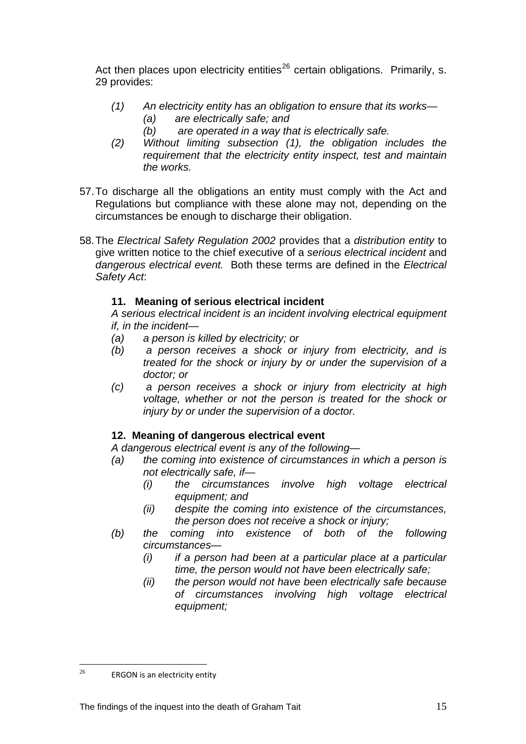Act then places upon electricity entities<sup>[26](#page-15-0)</sup> certain obligations. Primarily, s. 29 provides:

- *(1) An electricity entity has an obligation to ensure that its works— (a) are electrically safe; and* 
	- *(b) are operated in a way that is electrically safe.*
- *(2) Without limiting subsection (1), the obligation includes the requirement that the electricity entity inspect, test and maintain the works.*
- 57. To discharge all the obligations an entity must comply with the Act and Regulations but compliance with these alone may not, depending on the circumstances be enough to discharge their obligation.
- 58. The *Electrical Safety Regulation 2002* provides that a *distribution entity* to give written notice to the chief executive of a *serious electrical incident* and *dangerous electrical event.* Both these terms are defined in the *Electrical Safety Act*:

#### **11. Meaning of serious electrical incident**

*A serious electrical incident is an incident involving electrical equipment if, in the incident—* 

- *(a) a person is killed by electricity; or*
- *(b) a person receives a shock or injury from electricity, and is treated for the shock or injury by or under the supervision of a doctor; or*
- *(c) a person receives a shock or injury from electricity at high voltage, whether or not the person is treated for the shock or injury by or under the supervision of a doctor.*

#### **12. Meaning of dangerous electrical event**

*A dangerous electrical event is any of the following—* 

- *(a) the coming into existence of circumstances in which a person is not electrically safe, if—* 
	- *(i) the circumstances involve high voltage electrical equipment; and*
	- *(ii) despite the coming into existence of the circumstances, the person does not receive a shock or injury;*
- *(b) the coming into existence of both of the following circumstances—* 
	- *(i) if a person had been at a particular place at a particular time, the person would not have been electrically safe;*
	- *(ii) the person would not have been electrically safe because of circumstances involving high voltage electrical equipment;*

<span id="page-15-0"></span> $26$ ERGON is an electricity entity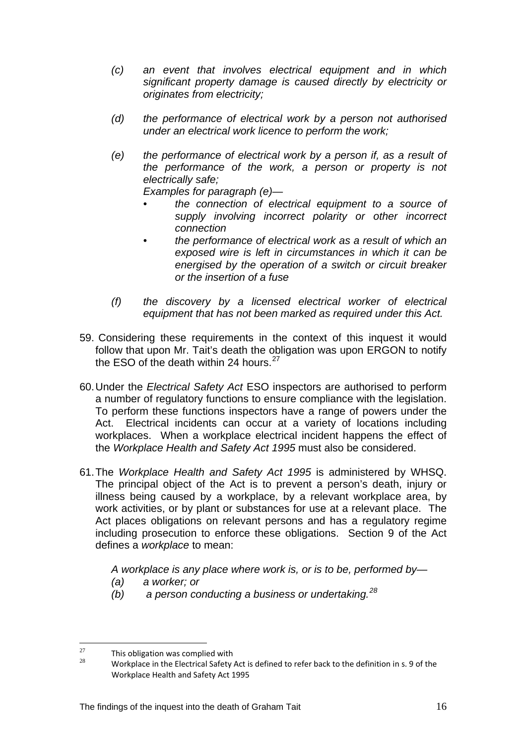- *(c) an event that involves electrical equipment and in which significant property damage is caused directly by electricity or originates from electricity;*
- *(d) the performance of electrical work by a person not authorised under an electrical work licence to perform the work;*
- *(e) the performance of electrical work by a person if, as a result of the performance of the work, a person or property is not electrically safe;*

*Examples for paragraph (e)—* 

- *the connection of electrical equipment to a source of supply involving incorrect polarity or other incorrect connection*
- *the performance of electrical work as a result of which an exposed wire is left in circumstances in which it can be energised by the operation of a switch or circuit breaker or the insertion of a fuse*
- *(f) the discovery by a licensed electrical worker of electrical equipment that has not been marked as required under this Act.*
- 59. Considering these requirements in the context of this inquest it would follow that upon Mr. Tait's death the obligation was upon ERGON to notify the ESO of the death within 24 hours. $27$
- 60. Under the *Electrical Safety Act* ESO inspectors are authorised to perform a number of regulatory functions to ensure compliance with the legislation. To perform these functions inspectors have a range of powers under the Act. Electrical incidents can occur at a variety of locations including workplaces. When a workplace electrical incident happens the effect of the *Workplace Health and Safety Act 1995* must also be considered.
- 61. The *Workplace Health and Safety Act 1995* is administered by WHSQ. The principal object of the Act is to prevent a person's death, injury or illness being caused by a workplace, by a relevant workplace area, by work activities, or by plant or substances for use at a relevant place. The Act places obligations on relevant persons and has a regulatory regime including prosecution to enforce these obligations. Section 9 of the Act defines a *workplace* to mean:

 *A workplace is any place where work is, or is to be, performed by—* 

- *(a) a worker; or*
- *(b) a person conducting a business or undertaking.[28](#page-16-1)*

<span id="page-16-1"></span><span id="page-16-0"></span> $27$  $^{27}$  This obligation was complied with

<sup>28</sup> Workplace in the Electrical Safety Act is defined to refer back to the definition in s. 9 of the Workplace Health and Safety Act 1995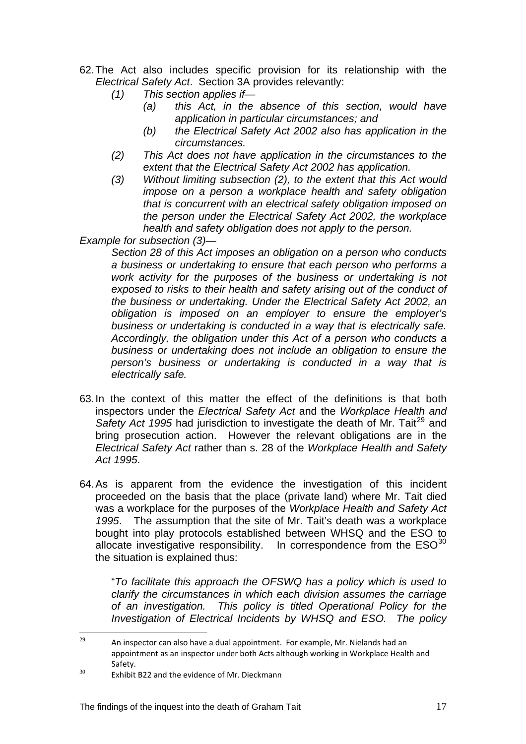- 62. The Act also includes specific provision for its relationship with the *Electrical Safety Act*. Section 3A provides relevantly:
	- *(1) This section applies if—* 
		- *(a) this Act, in the absence of this section, would have application in particular circumstances; and*
		- *(b) the Electrical Safety Act 2002 also has application in the circumstances.*
	- *(2) This Act does not have application in the circumstances to the extent that the Electrical Safety Act 2002 has application.*
	- *(3) Without limiting subsection (2), to the extent that this Act would impose on a person a workplace health and safety obligation that is concurrent with an electrical safety obligation imposed on the person under the Electrical Safety Act 2002, the workplace health and safety obligation does not apply to the person.*

*Example for subsection (3)—* 

*Section 28 of this Act imposes an obligation on a person who conducts a business or undertaking to ensure that each person who performs a work activity for the purposes of the business or undertaking is not*  exposed to risks to their health and safety arising out of the conduct of *the business or undertaking. Under the Electrical Safety Act 2002, an obligation is imposed on an employer to ensure the employer's business or undertaking is conducted in a way that is electrically safe. Accordingly, the obligation under this Act of a person who conducts a business or undertaking does not include an obligation to ensure the person's business or undertaking is conducted in a way that is electrically safe.* 

- 63. In the context of this matter the effect of the definitions is that both inspectors under the *Electrical Safety Act* and the *Workplace Health and*  Safety Act 1995 had jurisdiction to investigate the death of Mr. Tait<sup>[29](#page-17-0)</sup> and bring prosecution action. However the relevant obligations are in the *Electrical Safety Act* rather than s. 28 of the *Workplace Health and Safety Act 1995*.
- 64. As is apparent from the evidence the investigation of this incident proceeded on the basis that the place (private land) where Mr. Tait died was a workplace for the purposes of the *Workplace Health and Safety Act 1995*. The assumption that the site of Mr. Tait's death was a workplace bought into play protocols established between WHSQ and the ESO to allocate investigative responsibility. In correspondence from the  $ESO<sup>30</sup>$  $ESO<sup>30</sup>$  $ESO<sup>30</sup>$ the situation is explained thus:

 "*To facilitate this approach the OFSWQ has a policy which is used to clarify the circumstances in which each division assumes the carriage of an investigation. This policy is titled Operational Policy for the Investigation of Electrical Incidents by WHSQ and ESO. The policy* 

<span id="page-17-0"></span><sup>29</sup> An inspector can also have a dual appointment. For example, Mr. Nielands had an appointment as an inspector under both Acts although working in Workplace Health and  $\frac{30}{100}$  Safety.<br>30 Exhibit B22 and the evidence of Mr. Dieckmann

<span id="page-17-1"></span>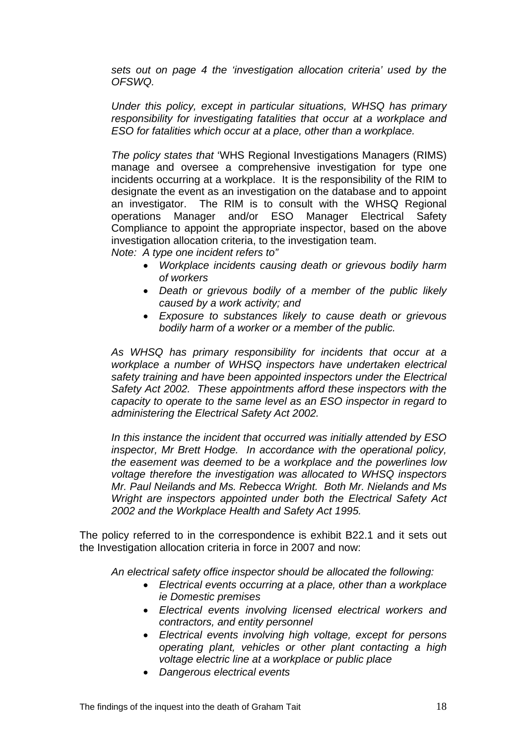*sets out on page 4 the 'investigation allocation criteria' used by the OFSWQ.* 

 *Under this policy, except in particular situations, WHSQ has primary responsibility for investigating fatalities that occur at a workplace and ESO for fatalities which occur at a place, other than a workplace.* 

 *The policy states that* 'WHS Regional Investigations Managers (RIMS) manage and oversee a comprehensive investigation for type one incidents occurring at a workplace. It is the responsibility of the RIM to designate the event as an investigation on the database and to appoint an investigator. The RIM is to consult with the WHSQ Regional operations Manager and/or ESO Manager Electrical Safety Compliance to appoint the appropriate inspector, based on the above investigation allocation criteria, to the investigation team.

 *Note: A type one incident refers to"* 

- *Workplace incidents causing death or grievous bodily harm of workers*
- *Death or grievous bodily of a member of the public likely caused by a work activity; and*
- *Exposure to substances likely to cause death or grievous bodily harm of a worker or a member of the public.*

*As WHSQ has primary responsibility for incidents that occur at a workplace a number of WHSQ inspectors have undertaken electrical safety training and have been appointed inspectors under the Electrical Safety Act 2002. These appointments afford these inspectors with the capacity to operate to the same level as an ESO inspector in regard to administering the Electrical Safety Act 2002.* 

*In this instance the incident that occurred was initially attended by ESO inspector, Mr Brett Hodge. In accordance with the operational policy, the easement was deemed to be a workplace and the powerlines low voltage therefore the investigation was allocated to WHSQ inspectors Mr. Paul Neilands and Ms. Rebecca Wright. Both Mr. Nielands and Ms Wright are inspectors appointed under both the Electrical Safety Act 2002 and the Workplace Health and Safety Act 1995.* 

The policy referred to in the correspondence is exhibit B22.1 and it sets out the Investigation allocation criteria in force in 2007 and now:

*An electrical safety office inspector should be allocated the following:* 

- *Electrical events occurring at a place, other than a workplace ie Domestic premises*
- *Electrical events involving licensed electrical workers and contractors, and entity personnel*
- *Electrical events involving high voltage, except for persons operating plant, vehicles or other plant contacting a high voltage electric line at a workplace or public place*
- *Dangerous electrical events*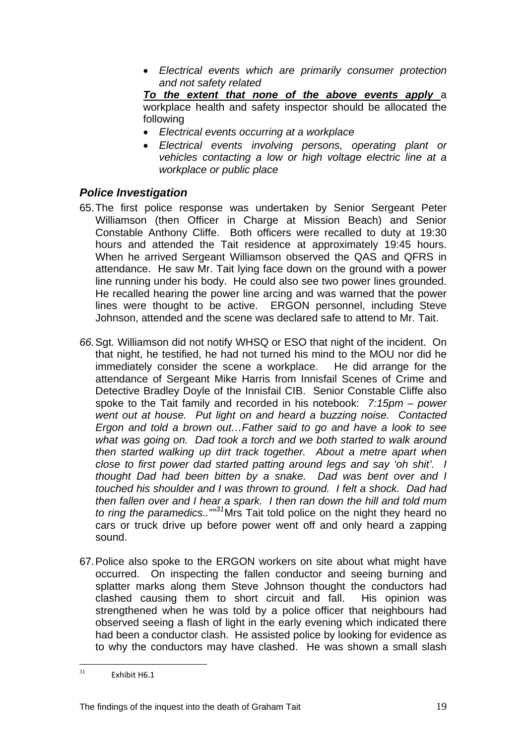• *Electrical events which are primarily consumer protection and not safety related* 

*To the extent that none of the above events apply* a workplace health and safety inspector should be allocated the following

- *Electrical events occurring at a workplace*
- *Electrical events involving persons, operating plant or vehicles contacting a low or high voltage electric line at a workplace or public place*

#### *Police Investigation*

- 65. The first police response was undertaken by Senior Sergeant Peter Williamson (then Officer in Charge at Mission Beach) and Senior Constable Anthony Cliffe. Both officers were recalled to duty at 19:30 hours and attended the Tait residence at approximately 19:45 hours. When he arrived Sergeant Williamson observed the QAS and QFRS in attendance. He saw Mr. Tait lying face down on the ground with a power line running under his body. He could also see two power lines grounded. He recalled hearing the power line arcing and was warned that the power lines were thought to be active. ERGON personnel, including Steve Johnson, attended and the scene was declared safe to attend to Mr. Tait.
- *66.* Sgt. Williamson did not notify WHSQ or ESO that night of the incident. On that night, he testified, he had not turned his mind to the MOU nor did he immediately consider the scene a workplace. He did arrange for the attendance of Sergeant Mike Harris from Innisfail Scenes of Crime and Detective Bradley Doyle of the Innisfail CIB. Senior Constable Cliffe also spoke to the Tait family and recorded in his notebook: *7:15pm – power went out at house. Put light on and heard a buzzing noise. Contacted Ergon and told a brown out…Father said to go and have a look to see what was going on. Dad took a torch and we both started to walk around then started walking up dirt track together. About a metre apart when close to first power dad started patting around legs and say 'oh shit'. I thought Dad had been bitten by a snake. Dad was bent over and I touched his shoulder and I was thrown to ground. I felt a shock. Dad had then fallen over and I hear a spark. I then ran down the hill and told mum to ring the paramedics..""[31](#page-19-0)*Mrs Tait told police on the night they heard no cars or truck drive up before power went off and only heard a zapping sound.
- 67. Police also spoke to the ERGON workers on site about what might have occurred. On inspecting the fallen conductor and seeing burning and splatter marks along them Steve Johnson thought the conductors had clashed causing them to short circuit and fall. His opinion was strengthened when he was told by a police officer that neighbours had observed seeing a flash of light in the early evening which indicated there had been a conductor clash. He assisted police by looking for evidence as to why the conductors may have clashed. He was shown a small slash

<span id="page-19-0"></span> $31$ Exhibit H6.1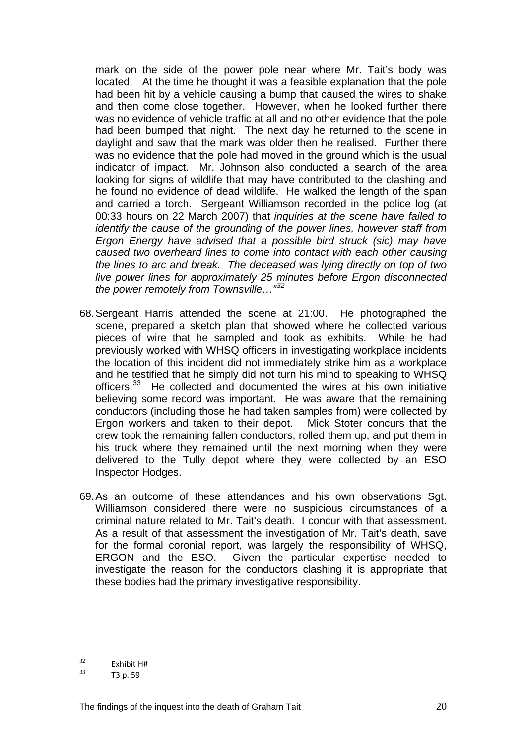mark on the side of the power pole near where Mr. Tait's body was located. At the time he thought it was a feasible explanation that the pole had been hit by a vehicle causing a bump that caused the wires to shake and then come close together. However, when he looked further there was no evidence of vehicle traffic at all and no other evidence that the pole had been bumped that night. The next day he returned to the scene in daylight and saw that the mark was older then he realised. Further there was no evidence that the pole had moved in the ground which is the usual indicator of impact. Mr. Johnson also conducted a search of the area looking for signs of wildlife that may have contributed to the clashing and he found no evidence of dead wildlife. He walked the length of the span and carried a torch. Sergeant Williamson recorded in the police log (at 00:33 hours on 22 March 2007) that *inquiries at the scene have failed to identify the cause of the grounding of the power lines, however staff from Ergon Energy have advised that a possible bird struck (sic) may have caused two overheard lines to come into contact with each other causing the lines to arc and break. The deceased was lying directly on top of two live power lines for approximately 25 minutes before Ergon disconnected the power remotely from Townsville…"[32](#page-20-0)* 

- 68. Sergeant Harris attended the scene at 21:00. He photographed the scene, prepared a sketch plan that showed where he collected various pieces of wire that he sampled and took as exhibits. While he had previously worked with WHSQ officers in investigating workplace incidents the location of this incident did not immediately strike him as a workplace and he testified that he simply did not turn his mind to speaking to WHSQ officers.<sup>[33](#page-20-1)</sup> He collected and documented the wires at his own initiative believing some record was important. He was aware that the remaining conductors (including those he had taken samples from) were collected by Ergon workers and taken to their depot. Mick Stoter concurs that the crew took the remaining fallen conductors, rolled them up, and put them in his truck where they remained until the next morning when they were delivered to the Tully depot where they were collected by an ESO Inspector Hodges.
- 69. As an outcome of these attendances and his own observations Sgt. Williamson considered there were no suspicious circumstances of a criminal nature related to Mr. Tait's death. I concur with that assessment. As a result of that assessment the investigation of Mr. Tait's death, save for the formal coronial report, was largely the responsibility of WHSQ, ERGON and the ESO. Given the particular expertise needed to investigate the reason for the conductors clashing it is appropriate that these bodies had the primary investigative responsibility.

<span id="page-20-1"></span><span id="page-20-0"></span> $32$  $\frac{32}{33}$  Exhibit H#<br>T3 p. 59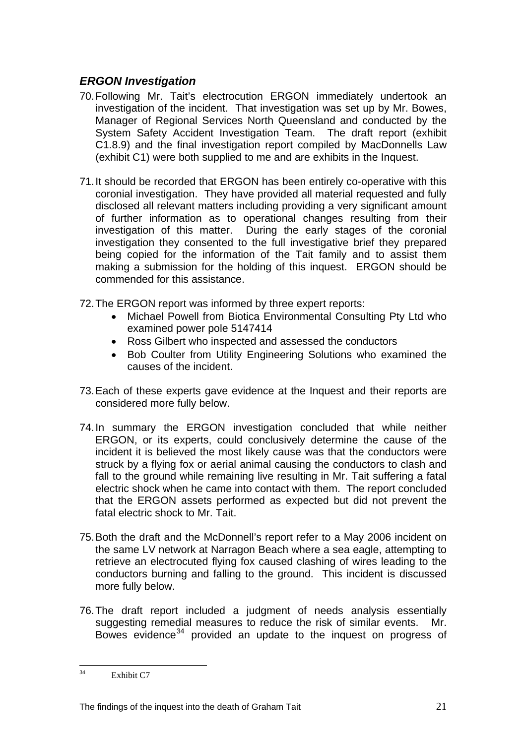# *ERGON Investigation*

- 70. Following Mr. Tait's electrocution ERGON immediately undertook an investigation of the incident. That investigation was set up by Mr. Bowes, Manager of Regional Services North Queensland and conducted by the System Safety Accident Investigation Team. The draft report (exhibit C1.8.9) and the final investigation report compiled by MacDonnells Law (exhibit C1) were both supplied to me and are exhibits in the Inquest.
- 71. It should be recorded that ERGON has been entirely co-operative with this coronial investigation. They have provided all material requested and fully disclosed all relevant matters including providing a very significant amount of further information as to operational changes resulting from their investigation of this matter. During the early stages of the coronial investigation they consented to the full investigative brief they prepared being copied for the information of the Tait family and to assist them making a submission for the holding of this inquest. ERGON should be commended for this assistance.
- 72. The ERGON report was informed by three expert reports:
	- Michael Powell from Biotica Environmental Consulting Pty Ltd who examined power pole 5147414
	- Ross Gilbert who inspected and assessed the conductors
	- Bob Coulter from Utility Engineering Solutions who examined the causes of the incident.
- 73. Each of these experts gave evidence at the Inquest and their reports are considered more fully below.
- 74. In summary the ERGON investigation concluded that while neither ERGON, or its experts, could conclusively determine the cause of the incident it is believed the most likely cause was that the conductors were struck by a flying fox or aerial animal causing the conductors to clash and fall to the ground while remaining live resulting in Mr. Tait suffering a fatal electric shock when he came into contact with them. The report concluded that the ERGON assets performed as expected but did not prevent the fatal electric shock to Mr. Tait.
- 75. Both the draft and the McDonnell's report refer to a May 2006 incident on the same LV network at Narragon Beach where a sea eagle, attempting to retrieve an electrocuted flying fox caused clashing of wires leading to the conductors burning and falling to the ground. This incident is discussed more fully below.
- 76. The draft report included a judgment of needs analysis essentially suggesting remedial measures to reduce the risk of similar events. Mr. Bowes evidence<sup>[34](#page-21-0)</sup> provided an update to the inquest on progress of

<span id="page-21-0"></span> $34$ Exhibit C7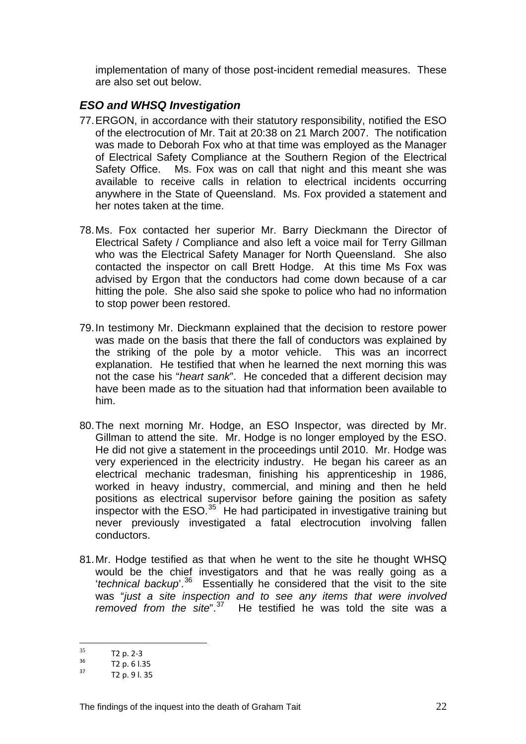implementation of many of those post-incident remedial measures. These are also set out below.

## *ESO and WHSQ Investigation*

- 77. ERGON, in accordance with their statutory responsibility, notified the ESO of the electrocution of Mr. Tait at 20:38 on 21 March 2007. The notification was made to Deborah Fox who at that time was employed as the Manager of Electrical Safety Compliance at the Southern Region of the Electrical Safety Office. Ms. Fox was on call that night and this meant she was available to receive calls in relation to electrical incidents occurring anywhere in the State of Queensland. Ms. Fox provided a statement and her notes taken at the time.
- 78. Ms. Fox contacted her superior Mr. Barry Dieckmann the Director of Electrical Safety / Compliance and also left a voice mail for Terry Gillman who was the Electrical Safety Manager for North Queensland. She also contacted the inspector on call Brett Hodge. At this time Ms Fox was advised by Ergon that the conductors had come down because of a car hitting the pole. She also said she spoke to police who had no information to stop power been restored.
- 79. In testimony Mr. Dieckmann explained that the decision to restore power was made on the basis that there the fall of conductors was explained by the striking of the pole by a motor vehicle. This was an incorrect explanation. He testified that when he learned the next morning this was not the case his "*heart sank*". He conceded that a different decision may have been made as to the situation had that information been available to him.
- 80. The next morning Mr. Hodge, an ESO Inspector, was directed by Mr. Gillman to attend the site. Mr. Hodge is no longer employed by the ESO. He did not give a statement in the proceedings until 2010. Mr. Hodge was very experienced in the electricity industry. He began his career as an electrical mechanic tradesman, finishing his apprenticeship in 1986, worked in heavy industry, commercial, and mining and then he held positions as electrical supervisor before gaining the position as safety inspector with the  $ESO.<sup>35</sup>$  $ESO.<sup>35</sup>$  $ESO.<sup>35</sup>$  He had participated in investigative training but never previously investigated a fatal electrocution involving fallen conductors.
- 81. Mr. Hodge testified as that when he went to the site he thought WHSQ would be the chief investigators and that he was really going as a '*technical backup*'.[36](#page-22-1) Essentially he considered that the visit to the site was "*just a site inspection and to see any items that were involved removed from the site*".[37](#page-22-2) He testified he was told the site was a

<sup>35</sup> 

<span id="page-22-1"></span><span id="page-22-0"></span> $^{35}$  T2 p. 2–3<br>  $^{36}$  T2 p. 6 l.35<br>  $^{37}$  T2 p. 9 l. 35

<span id="page-22-2"></span>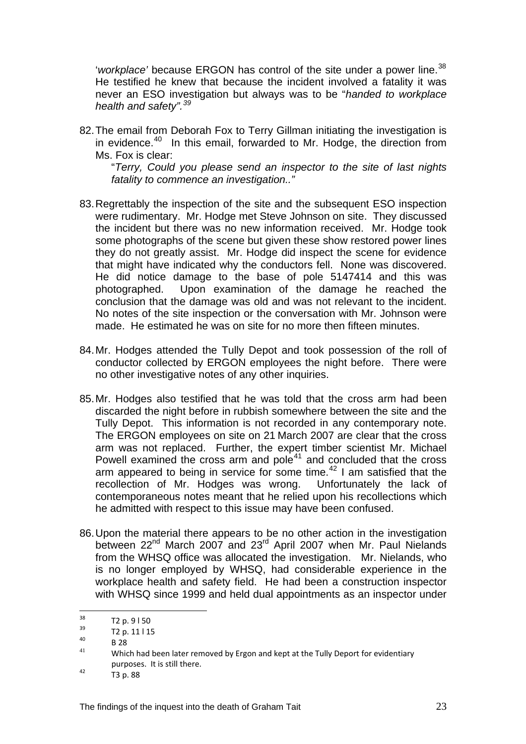'workplace' because ERGON has control of the site under a power line.<sup>[38](#page-23-0)</sup> He testified he knew that because the incident involved a fatality it was never an ESO investigation but always was to be "*handed to workplace health and safety".[39](#page-23-1)*

82. The email from Deborah Fox to Terry Gillman initiating the investigation is in evidence.<sup>[40](#page-23-2)</sup> In this email, forwarded to Mr. Hodge, the direction from Ms. Fox is clear:

 "*Terry, Could you please send an inspector to the site of last nights fatality to commence an investigation.."* 

- 83. Regrettably the inspection of the site and the subsequent ESO inspection were rudimentary. Mr. Hodge met Steve Johnson on site. They discussed the incident but there was no new information received. Mr. Hodge took some photographs of the scene but given these show restored power lines they do not greatly assist. Mr. Hodge did inspect the scene for evidence that might have indicated why the conductors fell. None was discovered. He did notice damage to the base of pole 5147414 and this was photographed. Upon examination of the damage he reached the conclusion that the damage was old and was not relevant to the incident. No notes of the site inspection or the conversation with Mr. Johnson were made. He estimated he was on site for no more then fifteen minutes.
- 84. Mr. Hodges attended the Tully Depot and took possession of the roll of conductor collected by ERGON employees the night before. There were no other investigative notes of any other inquiries.
- 85. Mr. Hodges also testified that he was told that the cross arm had been discarded the night before in rubbish somewhere between the site and the Tully Depot. This information is not recorded in any contemporary note. The ERGON employees on site on 21 March 2007 are clear that the cross arm was not replaced. Further, the expert timber scientist Mr. Michael Powell examined the cross arm and pole $41$  and concluded that the cross arm appeared to being in service for some time. $42$  I am satisfied that the recollection of Mr. Hodges was wrong. Unfortunately the lack of contemporaneous notes meant that he relied upon his recollections which he admitted with respect to this issue may have been confused.
- 86. Upon the material there appears to be no other action in the investigation between 22<sup>nd</sup> March 2007 and 23<sup>rd</sup> April 2007 when Mr. Paul Nielands from the WHSQ office was allocated the investigation. Mr. Nielands, who is no longer employed by WHSQ, had considerable experience in the workplace health and safety field. He had been a construction inspector with WHSQ since 1999 and held dual appointments as an inspector under

 $38$ 

<span id="page-23-3"></span><span id="page-23-2"></span>

<span id="page-23-1"></span><span id="page-23-0"></span>T2 p. 9 l 50<br>  $\begin{array}{cc}\n 3^3 & \text{T2 p. 11 l 15} \\
 8 & 28 \\
 4^1 & \text{Which had been later removed by Ergon and kept at the Tully Deport for evidently\n\end{array}$ purposes. It is still there.<br>T3 p. 88

<span id="page-23-4"></span>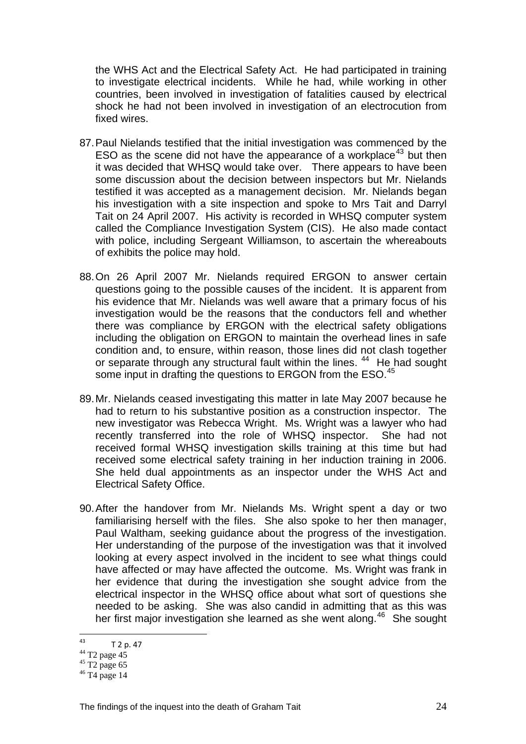the WHS Act and the Electrical Safety Act. He had participated in training to investigate electrical incidents. While he had, while working in other countries, been involved in investigation of fatalities caused by electrical shock he had not been involved in investigation of an electrocution from fixed wires.

- 87. Paul Nielands testified that the initial investigation was commenced by the ESO as the scene did not have the appearance of a workplace<sup>[43](#page-24-0)</sup> but then it was decided that WHSQ would take over. There appears to have been some discussion about the decision between inspectors but Mr. Nielands testified it was accepted as a management decision. Mr. Nielands began his investigation with a site inspection and spoke to Mrs Tait and Darryl Tait on 24 April 2007. His activity is recorded in WHSQ computer system called the Compliance Investigation System (CIS). He also made contact with police, including Sergeant Williamson, to ascertain the whereabouts of exhibits the police may hold.
- 88. On 26 April 2007 Mr. Nielands required ERGON to answer certain questions going to the possible causes of the incident. It is apparent from his evidence that Mr. Nielands was well aware that a primary focus of his investigation would be the reasons that the conductors fell and whether there was compliance by ERGON with the electrical safety obligations including the obligation on ERGON to maintain the overhead lines in safe condition and, to ensure, within reason, those lines did not clash together or separate through any structural fault within the lines. <sup>[44](#page-24-1)</sup> He had sought some input in drafting the questions to ERGON from the ESO.<sup>[45](#page-24-2)</sup>
- 89. Mr. Nielands ceased investigating this matter in late May 2007 because he had to return to his substantive position as a construction inspector. The new investigator was Rebecca Wright. Ms. Wright was a lawyer who had recently transferred into the role of WHSQ inspector. She had not received formal WHSQ investigation skills training at this time but had received some electrical safety training in her induction training in 2006. She held dual appointments as an inspector under the WHS Act and Electrical Safety Office.
- 90. After the handover from Mr. Nielands Ms. Wright spent a day or two familiarising herself with the files. She also spoke to her then manager, Paul Waltham, seeking guidance about the progress of the investigation. Her understanding of the purpose of the investigation was that it involved looking at every aspect involved in the incident to see what things could have affected or may have affected the outcome. Ms. Wright was frank in her evidence that during the investigation she sought advice from the electrical inspector in the WHSQ office about what sort of questions she needed to be asking. She was also candid in admitting that as this was her first major investigation she learned as she went along.<sup>[46](#page-24-3)</sup> She sought

<span id="page-24-0"></span> $43$  $^{43}$  T 2 p. 47<br> $^{44}$  T2 page 45

<span id="page-24-2"></span><span id="page-24-1"></span> $45 \overline{\smash{\big)}\ 12}$  page 65

<span id="page-24-3"></span><sup>46</sup> T4 page 14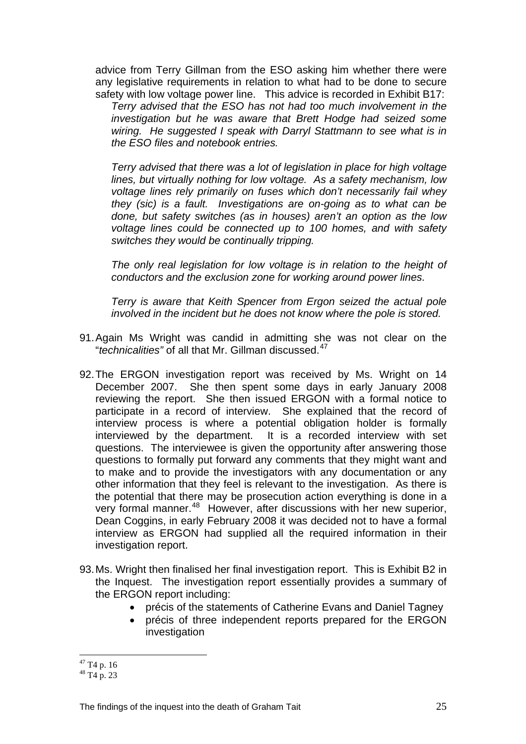advice from Terry Gillman from the ESO asking him whether there were any legislative requirements in relation to what had to be done to secure safety with low voltage power line. This advice is recorded in Exhibit B17:

*Terry advised that the ESO has not had too much involvement in the investigation but he was aware that Brett Hodge had seized some wiring. He suggested I speak with Darryl Stattmann to see what is in the ESO files and notebook entries.* 

 *Terry advised that there was a lot of legislation in place for high voltage lines, but virtually nothing for low voltage. As a safety mechanism, low voltage lines rely primarily on fuses which don't necessarily fail whey they (sic) is a fault. Investigations are on-going as to what can be done, but safety switches (as in houses) aren't an option as the low voltage lines could be connected up to 100 homes, and with safety switches they would be continually tripping.* 

 *The only real legislation for low voltage is in relation to the height of conductors and the exclusion zone for working around power lines.* 

 *Terry is aware that Keith Spencer from Ergon seized the actual pole involved in the incident but he does not know where the pole is stored.* 

- 91. Again Ms Wright was candid in admitting she was not clear on the "*technicalities"* of all that Mr. Gillman discussed.[47](#page-25-0)
- 92. The ERGON investigation report was received by Ms. Wright on 14 December 2007. She then spent some days in early January 2008 reviewing the report. She then issued ERGON with a formal notice to participate in a record of interview. She explained that the record of interview process is where a potential obligation holder is formally interviewed by the department. It is a recorded interview with set questions. The interviewee is given the opportunity after answering those questions to formally put forward any comments that they might want and to make and to provide the investigators with any documentation or any other information that they feel is relevant to the investigation. As there is the potential that there may be prosecution action everything is done in a very formal manner.<sup>[48](#page-25-1)</sup> However, after discussions with her new superior, Dean Coggins, in early February 2008 it was decided not to have a formal interview as ERGON had supplied all the required information in their investigation report.
- 93. Ms. Wright then finalised her final investigation report. This is Exhibit B2 in the Inquest. The investigation report essentially provides a summary of the ERGON report including:
	- précis of the statements of Catherine Evans and Daniel Tagney
	- précis of three independent reports prepared for the ERGON investigation

 $\overline{a}$  $47$  T<sub>4</sub> p. 16

<span id="page-25-1"></span><span id="page-25-0"></span> $48$  T<sub>4</sub> p. 23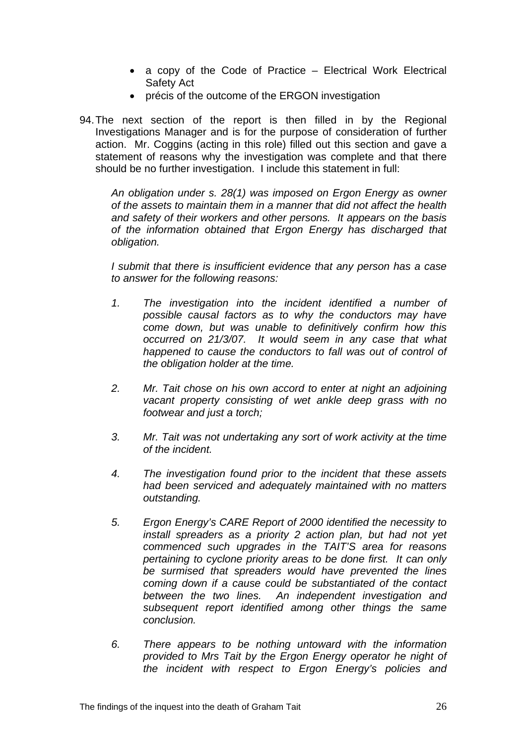- a copy of the Code of Practice Electrical Work Electrical Safety Act
- précis of the outcome of the ERGON investigation
- 94. The next section of the report is then filled in by the Regional Investigations Manager and is for the purpose of consideration of further action. Mr. Coggins (acting in this role) filled out this section and gave a statement of reasons why the investigation was complete and that there should be no further investigation. I include this statement in full:

*An obligation under s. 28(1) was imposed on Ergon Energy as owner of the assets to maintain them in a manner that did not affect the health and safety of their workers and other persons. It appears on the basis of the information obtained that Ergon Energy has discharged that obligation.* 

 *I submit that there is insufficient evidence that any person has a case to answer for the following reasons:* 

- *1. The investigation into the incident identified a number of possible causal factors as to why the conductors may have come down, but was unable to definitively confirm how this occurred on 21/3/07. It would seem in any case that what happened to cause the conductors to fall was out of control of the obligation holder at the time.*
- *2. Mr. Tait chose on his own accord to enter at night an adjoining vacant property consisting of wet ankle deep grass with no footwear and just a torch;*
- *3. Mr. Tait was not undertaking any sort of work activity at the time of the incident.*
- *4. The investigation found prior to the incident that these assets had been serviced and adequately maintained with no matters outstanding.*
- *5. Ergon Energy's CARE Report of 2000 identified the necessity to install spreaders as a priority 2 action plan, but had not yet commenced such upgrades in the TAIT'S area for reasons pertaining to cyclone priority areas to be done first. It can only be surmised that spreaders would have prevented the lines coming down if a cause could be substantiated of the contact between the two lines. An independent investigation and subsequent report identified among other things the same conclusion.*
- *6. There appears to be nothing untoward with the information provided to Mrs Tait by the Ergon Energy operator he night of the incident with respect to Ergon Energy's policies and*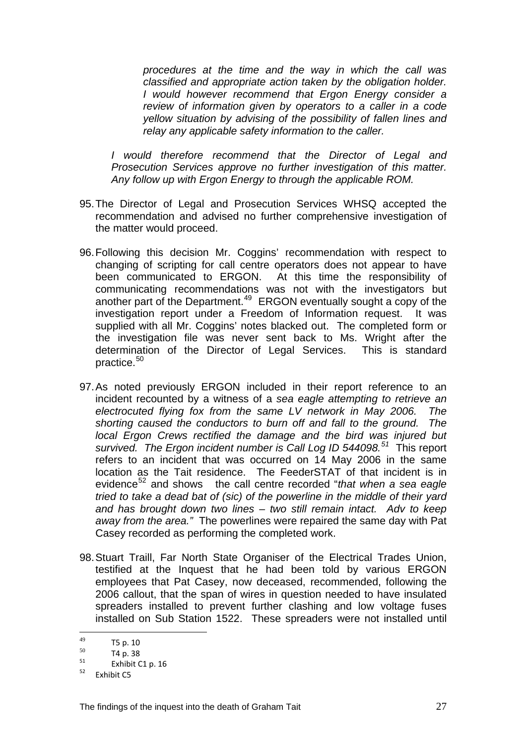*procedures at the time and the way in which the call was classified and appropriate action taken by the obligation holder. I would however recommend that Ergon Energy consider a review of information given by operators to a caller in a code yellow situation by advising of the possibility of fallen lines and relay any applicable safety information to the caller.* 

 *I would therefore recommend that the Director of Legal and Prosecution Services approve no further investigation of this matter. Any follow up with Ergon Energy to through the applicable ROM.* 

- 95. The Director of Legal and Prosecution Services WHSQ accepted the recommendation and advised no further comprehensive investigation of the matter would proceed.
- 96. Following this decision Mr. Coggins' recommendation with respect to changing of scripting for call centre operators does not appear to have been communicated to ERGON. At this time the responsibility of communicating recommendations was not with the investigators but another part of the Department.<sup>[49](#page-27-0)</sup> ERGON eventually sought a copy of the investigation report under a Freedom of Information request. It was supplied with all Mr. Coggins' notes blacked out. The completed form or the investigation file was never sent back to Ms. Wright after the determination of the Director of Legal Services. This is standard practice.<sup>[50](#page-27-1)</sup>
- 97. As noted previously ERGON included in their report reference to an incident recounted by a witness of a *sea eagle attempting to retrieve an electrocuted flying fox from the same LV network in May 2006. The shorting caused the conductors to burn off and fall to the ground. The local Ergon Crews rectified the damage and the bird was injured but survived. The Ergon incident number is Call Log ID 544098.[51](#page-27-2)* This report refers to an incident that was occurred on 14 May 2006 in the same location as the Tait residence. The FeederSTAT of that incident is in evidence[52](#page-27-3) and shows the call centre recorded "*that when a sea eagle tried to take a dead bat of (sic) of the powerline in the middle of their yard and has brought down two lines – two still remain intact. Adv to keep away from the area."* The powerlines were repaired the same day with Pat Casey recorded as performing the completed work.
- 98. Stuart Traill, Far North State Organiser of the Electrical Trades Union, testified at the Inquest that he had been told by various ERGON employees that Pat Casey, now deceased, recommended, following the 2006 callout, that the span of wires in question needed to have insulated spreaders installed to prevent further clashing and low voltage fuses installed on Sub Station 1522. These spreaders were not installed until

<sup>49</sup> 

<span id="page-27-1"></span><span id="page-27-0"></span> $^{49}$  T5 p. 10<br>  $^{50}$  T4 p. 38<br>  $^{51}$  Exhibit C1 p. 16<br>  $^{52}$  Exhibit C5

<span id="page-27-3"></span><span id="page-27-2"></span>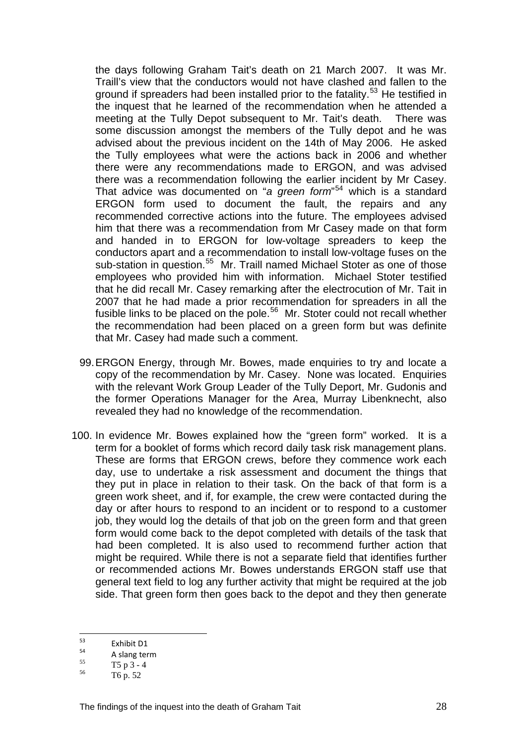the days following Graham Tait's death on 21 March 2007. It was Mr. Traill's view that the conductors would not have clashed and fallen to the ground if spreaders had been installed prior to the fatality.<sup>[53](#page-28-0)</sup> He testified in the inquest that he learned of the recommendation when he attended a meeting at the Tully Depot subsequent to Mr. Tait's death. There was some discussion amongst the members of the Tully depot and he was advised about the previous incident on the 14th of May 2006. He asked the Tully employees what were the actions back in 2006 and whether there were any recommendations made to ERGON, and was advised there was a recommendation following the earlier incident by Mr Casey. That advice was documented on "*a green form*" [54](#page-28-1) which is a standard ERGON form used to document the fault, the repairs and any recommended corrective actions into the future. The employees advised him that there was a recommendation from Mr Casey made on that form and handed in to ERGON for low-voltage spreaders to keep the conductors apart and a recommendation to install low-voltage fuses on the sub-station in question.<sup>[55](#page-28-2)</sup> Mr. Traill named Michael Stoter as one of those employees who provided him with information. Michael Stoter testified that he did recall Mr. Casey remarking after the electrocution of Mr. Tait in 2007 that he had made a prior recommendation for spreaders in all the fusible links to be placed on the pole.[56](#page-28-3) Mr. Stoter could not recall whether the recommendation had been placed on a green form but was definite that Mr. Casey had made such a comment.

- 99. ERGON Energy, through Mr. Bowes, made enquiries to try and locate a copy of the recommendation by Mr. Casey. None was located. Enquiries with the relevant Work Group Leader of the Tully Deport, Mr. Gudonis and the former Operations Manager for the Area, Murray Libenknecht, also revealed they had no knowledge of the recommendation.
- 100. In evidence Mr. Bowes explained how the "green form" worked. It is a term for a booklet of forms which record daily task risk management plans. These are forms that ERGON crews, before they commence work each day, use to undertake a risk assessment and document the things that they put in place in relation to their task. On the back of that form is a green work sheet, and if, for example, the crew were contacted during the day or after hours to respond to an incident or to respond to a customer job, they would log the details of that job on the green form and that green form would come back to the depot completed with details of the task that had been completed. It is also used to recommend further action that might be required. While there is not a separate field that identifies further or recommended actions Mr. Bowes understands ERGON staff use that general text field to log any further activity that might be required at the job side. That green form then goes back to the depot and they then generate

<sup>53</sup> 

<span id="page-28-1"></span><span id="page-28-0"></span><sup>&</sup>lt;sup>53</sup><br>
<sup>54</sup><br>
<sup>55</sup><br>  $\frac{5}{55}$ <br>  $\frac{5}{56}$ <br>  $\frac{5}{56}$ <br>  $\frac{5}{56}$ <br>  $\frac{5}{56}$ 

<span id="page-28-2"></span>

<span id="page-28-3"></span><sup>56</sup> T6 p. 52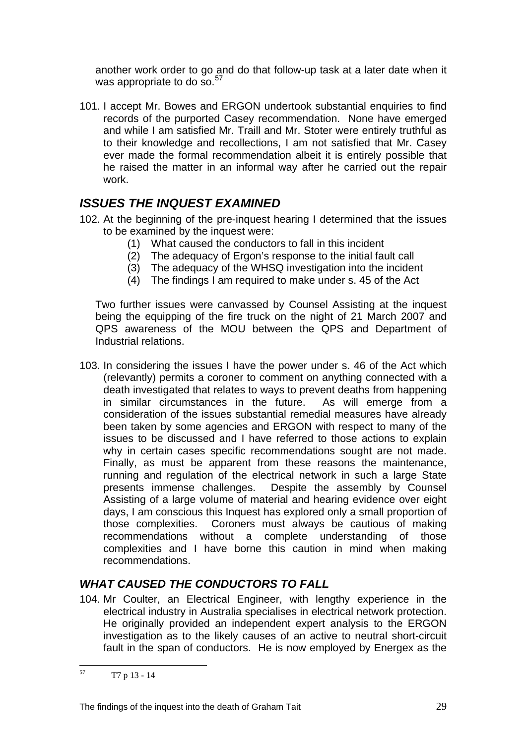another work order to go and do that follow-up task at a later date when it was appropriate to do so.<sup>[57](#page-29-0)</sup>

101. I accept Mr. Bowes and ERGON undertook substantial enquiries to find records of the purported Casey recommendation. None have emerged and while I am satisfied Mr. Traill and Mr. Stoter were entirely truthful as to their knowledge and recollections, I am not satisfied that Mr. Casey ever made the formal recommendation albeit it is entirely possible that he raised the matter in an informal way after he carried out the repair work.

# *ISSUES THE INQUEST EXAMINED*

- 102. At the beginning of the pre-inquest hearing I determined that the issues to be examined by the inquest were:
	- (1) What caused the conductors to fall in this incident
	- (2) The adequacy of Ergon's response to the initial fault call
	- $(3)$  The adequacy of the WHSQ investigation into the incident
	- (4) The findings I am required to make under s. 45 of the Act

Two further issues were canvassed by Counsel Assisting at the inquest being the equipping of the fire truck on the night of 21 March 2007 and QPS awareness of the MOU between the QPS and Department of Industrial relations.

103. In considering the issues I have the power under s. 46 of the Act which (relevantly) permits a coroner to comment on anything connected with a death investigated that relates to ways to prevent deaths from happening in similar circumstances in the future. As will emerge from a consideration of the issues substantial remedial measures have already been taken by some agencies and ERGON with respect to many of the issues to be discussed and I have referred to those actions to explain why in certain cases specific recommendations sought are not made. Finally, as must be apparent from these reasons the maintenance, running and regulation of the electrical network in such a large State presents immense challenges. Despite the assembly by Counsel Assisting of a large volume of material and hearing evidence over eight days, I am conscious this Inquest has explored only a small proportion of those complexities. Coroners must always be cautious of making recommendations without a complete understanding of those complexities and I have borne this caution in mind when making recommendations.

# *WHAT CAUSED THE CONDUCTORS TO FALL*

104. Mr Coulter, an Electrical Engineer, with lengthy experience in the electrical industry in Australia specialises in electrical network protection. He originally provided an independent expert analysis to the ERGON investigation as to the likely causes of an active to neutral short-circuit fault in the span of conductors. He is now employed by Energex as the

<span id="page-29-0"></span><sup>57</sup> 57 T7 p 13 - 14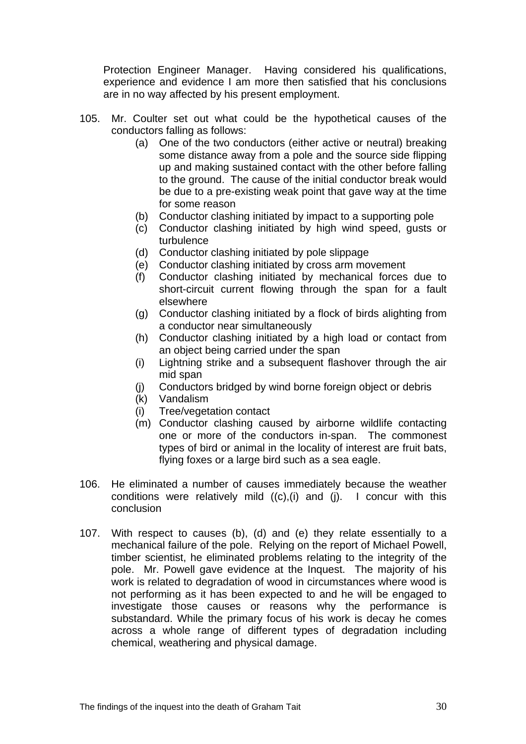Protection Engineer Manager. Having considered his qualifications, experience and evidence I am more then satisfied that his conclusions are in no way affected by his present employment.

- 105. Mr. Coulter set out what could be the hypothetical causes of the conductors falling as follows:
	- (a) One of the two conductors (either active or neutral) breaking some distance away from a pole and the source side flipping up and making sustained contact with the other before falling to the ground. The cause of the initial conductor break would be due to a pre-existing weak point that gave way at the time for some reason
	- (b) Conductor clashing initiated by impact to a supporting pole
	- (c) Conductor clashing initiated by high wind speed, gusts or turbulence
	- (d) Conductor clashing initiated by pole slippage
	- (e) Conductor clashing initiated by cross arm movement
	- (f) Conductor clashing initiated by mechanical forces due to short-circuit current flowing through the span for a fault elsewhere
	- (g) Conductor clashing initiated by a flock of birds alighting from a conductor near simultaneously
	- (h) Conductor clashing initiated by a high load or contact from an object being carried under the span
	- (i) Lightning strike and a subsequent flashover through the air mid span
	- (j) Conductors bridged by wind borne foreign object or debris
	- (k) Vandalism
	- (i) Tree/vegetation contact
	- (m) Conductor clashing caused by airborne wildlife contacting one or more of the conductors in-span. The commonest types of bird or animal in the locality of interest are fruit bats, flying foxes or a large bird such as a sea eagle.
- 106. He eliminated a number of causes immediately because the weather conditions were relatively mild  $((c), (i)$  and  $(i)$ . I concur with this conclusion
- 107. With respect to causes (b), (d) and (e) they relate essentially to a mechanical failure of the pole. Relying on the report of Michael Powell, timber scientist, he eliminated problems relating to the integrity of the pole. Mr. Powell gave evidence at the Inquest. The majority of his work is related to degradation of wood in circumstances where wood is not performing as it has been expected to and he will be engaged to investigate those causes or reasons why the performance is substandard. While the primary focus of his work is decay he comes across a whole range of different types of degradation including chemical, weathering and physical damage.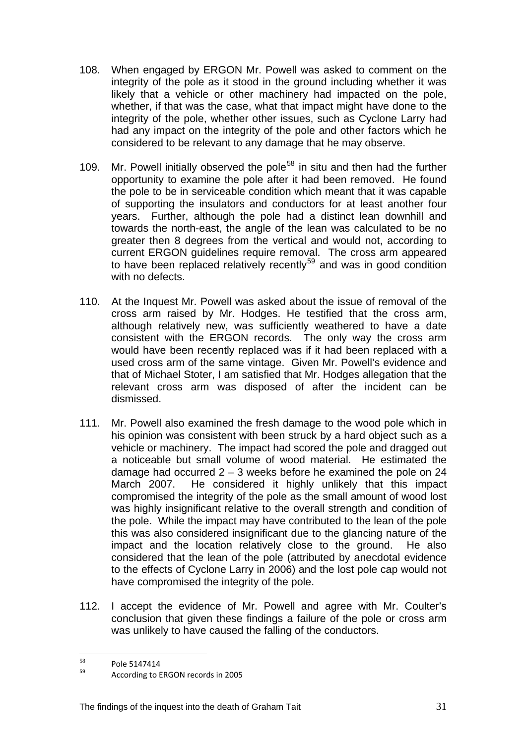- 108. When engaged by ERGON Mr. Powell was asked to comment on the integrity of the pole as it stood in the ground including whether it was likely that a vehicle or other machinery had impacted on the pole, whether, if that was the case, what that impact might have done to the integrity of the pole, whether other issues, such as Cyclone Larry had had any impact on the integrity of the pole and other factors which he considered to be relevant to any damage that he may observe.
- 109. Mr. Powell initially observed the pole<sup>[58](#page-31-0)</sup> in situ and then had the further opportunity to examine the pole after it had been removed. He found the pole to be in serviceable condition which meant that it was capable of supporting the insulators and conductors for at least another four years. Further, although the pole had a distinct lean downhill and towards the north-east, the angle of the lean was calculated to be no greater then 8 degrees from the vertical and would not, according to current ERGON guidelines require removal. The cross arm appeared to have been replaced relatively recently<sup>[59](#page-31-1)</sup> and was in good condition with no defects.
- 110. At the Inquest Mr. Powell was asked about the issue of removal of the cross arm raised by Mr. Hodges. He testified that the cross arm, although relatively new, was sufficiently weathered to have a date consistent with the ERGON records. The only way the cross arm would have been recently replaced was if it had been replaced with a used cross arm of the same vintage. Given Mr. Powell's evidence and that of Michael Stoter, I am satisfied that Mr. Hodges allegation that the relevant cross arm was disposed of after the incident can be dismissed.
- 111. Mr. Powell also examined the fresh damage to the wood pole which in his opinion was consistent with been struck by a hard object such as a vehicle or machinery. The impact had scored the pole and dragged out a noticeable but small volume of wood material. He estimated the damage had occurred  $2 - 3$  weeks before he examined the pole on 24 March 2007. He considered it highly unlikely that this impact compromised the integrity of the pole as the small amount of wood lost was highly insignificant relative to the overall strength and condition of the pole. While the impact may have contributed to the lean of the pole this was also considered insignificant due to the glancing nature of the impact and the location relatively close to the ground. He also considered that the lean of the pole (attributed by anecdotal evidence to the effects of Cyclone Larry in 2006) and the lost pole cap would not have compromised the integrity of the pole.
- 112. I accept the evidence of Mr. Powell and agree with Mr. Coulter's conclusion that given these findings a failure of the pole or cross arm was unlikely to have caused the falling of the conductors.

<span id="page-31-1"></span><span id="page-31-0"></span><sup>58</sup> 

 $58$  Pole 5147414<br> $59$  According to ERGON records in 2005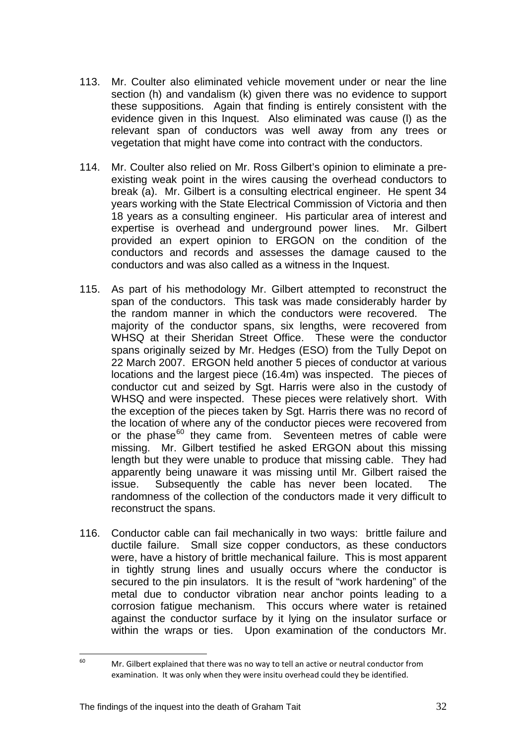- 113. Mr. Coulter also eliminated vehicle movement under or near the line section (h) and vandalism (k) given there was no evidence to support these suppositions. Again that finding is entirely consistent with the evidence given in this Inquest. Also eliminated was cause (l) as the relevant span of conductors was well away from any trees or vegetation that might have come into contract with the conductors.
- 114. Mr. Coulter also relied on Mr. Ross Gilbert's opinion to eliminate a preexisting weak point in the wires causing the overhead conductors to break (a). Mr. Gilbert is a consulting electrical engineer. He spent 34 years working with the State Electrical Commission of Victoria and then 18 years as a consulting engineer. His particular area of interest and expertise is overhead and underground power lines. Mr. Gilbert provided an expert opinion to ERGON on the condition of the conductors and records and assesses the damage caused to the conductors and was also called as a witness in the Inquest.
- 115. As part of his methodology Mr. Gilbert attempted to reconstruct the span of the conductors. This task was made considerably harder by the random manner in which the conductors were recovered. The majority of the conductor spans, six lengths, were recovered from WHSQ at their Sheridan Street Office. These were the conductor spans originally seized by Mr. Hedges (ESO) from the Tully Depot on 22 March 2007. ERGON held another 5 pieces of conductor at various locations and the largest piece (16.4m) was inspected. The pieces of conductor cut and seized by Sgt. Harris were also in the custody of WHSQ and were inspected. These pieces were relatively short. With the exception of the pieces taken by Sgt. Harris there was no record of the location of where any of the conductor pieces were recovered from or the phase $60$  they came from. Seventeen metres of cable were missing. Mr. Gilbert testified he asked ERGON about this missing length but they were unable to produce that missing cable. They had apparently being unaware it was missing until Mr. Gilbert raised the issue. Subsequently the cable has never been located. The randomness of the collection of the conductors made it very difficult to reconstruct the spans.
- 116. Conductor cable can fail mechanically in two ways: brittle failure and ductile failure. Small size copper conductors, as these conductors were, have a history of brittle mechanical failure. This is most apparent in tightly strung lines and usually occurs where the conductor is secured to the pin insulators. It is the result of "work hardening" of the metal due to conductor vibration near anchor points leading to a corrosion fatigue mechanism. This occurs where water is retained against the conductor surface by it lying on the insulator surface or within the wraps or ties. Upon examination of the conductors Mr.

<span id="page-32-0"></span> $50<sub>2</sub>$ Mr. Gilbert explained that there was no way to tell an active or neutral conductor from examination. It was only when they were insitu overhead could they be identified.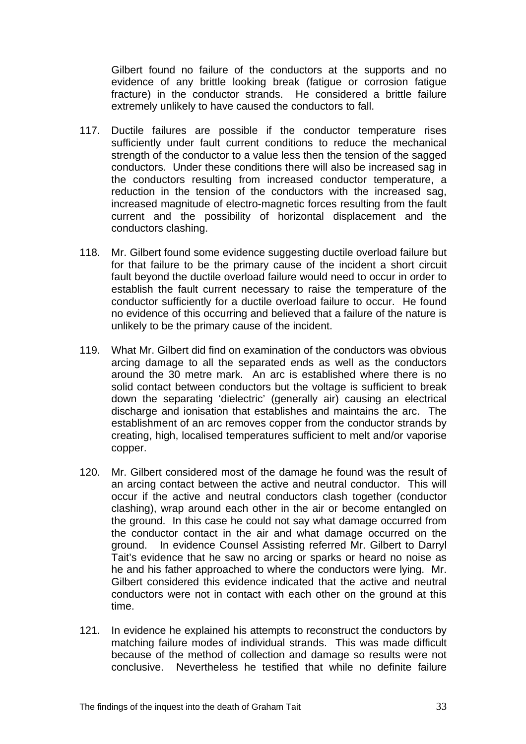Gilbert found no failure of the conductors at the supports and no evidence of any brittle looking break (fatigue or corrosion fatigue fracture) in the conductor strands. He considered a brittle failure extremely unlikely to have caused the conductors to fall.

- 117. Ductile failures are possible if the conductor temperature rises sufficiently under fault current conditions to reduce the mechanical strength of the conductor to a value less then the tension of the sagged conductors. Under these conditions there will also be increased sag in the conductors resulting from increased conductor temperature, a reduction in the tension of the conductors with the increased sag, increased magnitude of electro-magnetic forces resulting from the fault current and the possibility of horizontal displacement and the conductors clashing.
- 118. Mr. Gilbert found some evidence suggesting ductile overload failure but for that failure to be the primary cause of the incident a short circuit fault beyond the ductile overload failure would need to occur in order to establish the fault current necessary to raise the temperature of the conductor sufficiently for a ductile overload failure to occur. He found no evidence of this occurring and believed that a failure of the nature is unlikely to be the primary cause of the incident.
- 119. What Mr. Gilbert did find on examination of the conductors was obvious arcing damage to all the separated ends as well as the conductors around the 30 metre mark. An arc is established where there is no solid contact between conductors but the voltage is sufficient to break down the separating 'dielectric' (generally air) causing an electrical discharge and ionisation that establishes and maintains the arc. The establishment of an arc removes copper from the conductor strands by creating, high, localised temperatures sufficient to melt and/or vaporise copper.
- 120. Mr. Gilbert considered most of the damage he found was the result of an arcing contact between the active and neutral conductor. This will occur if the active and neutral conductors clash together (conductor clashing), wrap around each other in the air or become entangled on the ground. In this case he could not say what damage occurred from the conductor contact in the air and what damage occurred on the ground. In evidence Counsel Assisting referred Mr. Gilbert to Darryl Tait's evidence that he saw no arcing or sparks or heard no noise as he and his father approached to where the conductors were lying. Mr. Gilbert considered this evidence indicated that the active and neutral conductors were not in contact with each other on the ground at this time.
- 121. In evidence he explained his attempts to reconstruct the conductors by matching failure modes of individual strands. This was made difficult because of the method of collection and damage so results were not conclusive. Nevertheless he testified that while no definite failure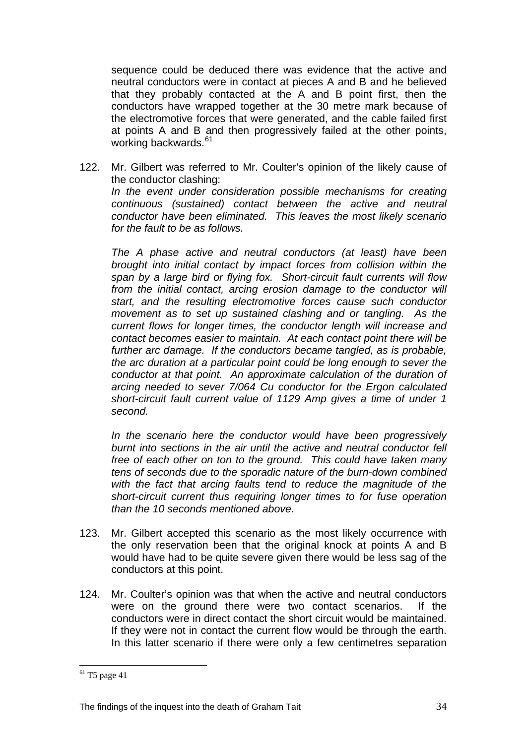sequence could be deduced there was evidence that the active and neutral conductors were in contact at pieces A and B and he believed that they probably contacted at the A and B point first, then the conductors have wrapped together at the 30 metre mark because of the electromotive forces that were generated, and the cable failed first at points A and B and then progressively failed at the other points, working backwards.<sup>[61](#page-34-0)</sup>

122. Mr. Gilbert was referred to Mr. Coulter's opinion of the likely cause of the conductor clashing: *In the event under consideration possible mechanisms for creating continuous (sustained) contact between the active and neutral conductor have been eliminated. This leaves the most likely scenario for the fault to be as follows.* 

 *The A phase active and neutral conductors (at least) have been brought into initial contact by impact forces from collision within the span by a large bird or flying fox. Short-circuit fault currents will flow from the initial contact, arcing erosion damage to the conductor will start, and the resulting electromotive forces cause such conductor movement as to set up sustained clashing and or tangling. As the current flows for longer times, the conductor length will increase and contact becomes easier to maintain. At each contact point there will be further arc damage. If the conductors became tangled, as is probable, the arc duration at a particular point could be long enough to sever the conductor at that point. An approximate calculation of the duration of arcing needed to sever 7/064 Cu conductor for the Ergon calculated short-circuit fault current value of 1129 Amp gives a time of under 1 second.* 

 *In the scenario here the conductor would have been progressively burnt into sections in the air until the active and neutral conductor fell free of each other on ton to the ground. This could have taken many tens of seconds due to the sporadic nature of the burn-down combined with the fact that arcing faults tend to reduce the magnitude of the short-circuit current thus requiring longer times to for fuse operation than the 10 seconds mentioned above.* 

- 123. Mr. Gilbert accepted this scenario as the most likely occurrence with the only reservation been that the original knock at points A and B would have had to be quite severe given there would be less sag of the conductors at this point.
- 124. Mr. Coulter's opinion was that when the active and neutral conductors were on the ground there were two contact scenarios. If the conductors were in direct contact the short circuit would be maintained. If they were not in contact the current flow would be through the earth. In this latter scenario if there were only a few centimetres separation

 $\overline{a}$ 

<span id="page-34-0"></span> $61$  T5 page 41

The findings of the inquest into the death of Graham Tait 34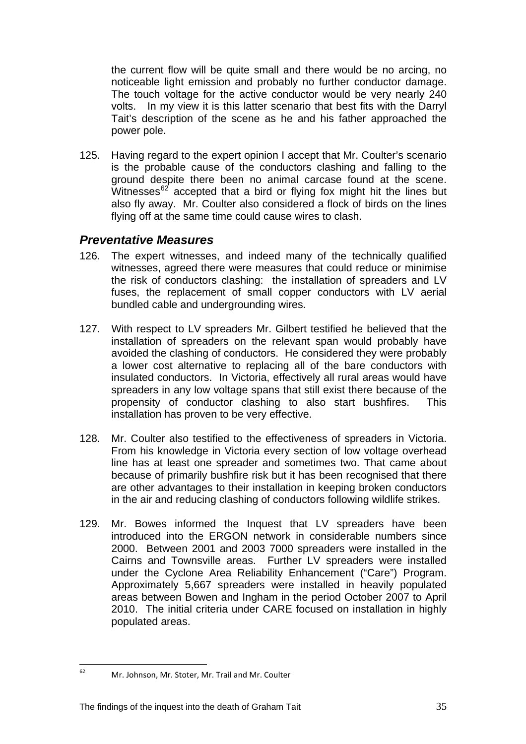the current flow will be quite small and there would be no arcing, no noticeable light emission and probably no further conductor damage. The touch voltage for the active conductor would be very nearly 240 volts. In my view it is this latter scenario that best fits with the Darryl Tait's description of the scene as he and his father approached the power pole.

125. Having regard to the expert opinion I accept that Mr. Coulter's scenario is the probable cause of the conductors clashing and falling to the ground despite there been no animal carcase found at the scene. Witnesses $62$  accepted that a bird or flying fox might hit the lines but also fly away. Mr. Coulter also considered a flock of birds on the lines flying off at the same time could cause wires to clash.

#### *Preventative Measures*

- 126. The expert witnesses, and indeed many of the technically qualified witnesses, agreed there were measures that could reduce or minimise the risk of conductors clashing: the installation of spreaders and LV fuses, the replacement of small copper conductors with LV aerial bundled cable and undergrounding wires.
- 127. With respect to LV spreaders Mr. Gilbert testified he believed that the installation of spreaders on the relevant span would probably have avoided the clashing of conductors. He considered they were probably a lower cost alternative to replacing all of the bare conductors with insulated conductors. In Victoria, effectively all rural areas would have spreaders in any low voltage spans that still exist there because of the propensity of conductor clashing to also start bushfires. This installation has proven to be very effective.
- 128. Mr. Coulter also testified to the effectiveness of spreaders in Victoria. From his knowledge in Victoria every section of low voltage overhead line has at least one spreader and sometimes two. That came about because of primarily bushfire risk but it has been recognised that there are other advantages to their installation in keeping broken conductors in the air and reducing clashing of conductors following wildlife strikes.
- 129. Mr. Bowes informed the Inquest that LV spreaders have been introduced into the ERGON network in considerable numbers since 2000. Between 2001 and 2003 7000 spreaders were installed in the Cairns and Townsville areas. Further LV spreaders were installed under the Cyclone Area Reliability Enhancement ("Care") Program. Approximately 5,667 spreaders were installed in heavily populated areas between Bowen and Ingham in the period October 2007 to April 2010. The initial criteria under CARE focused on installation in highly populated areas.

<span id="page-35-0"></span>62

Mr. Johnson, Mr. Stoter, Mr. Trail and Mr. Coulter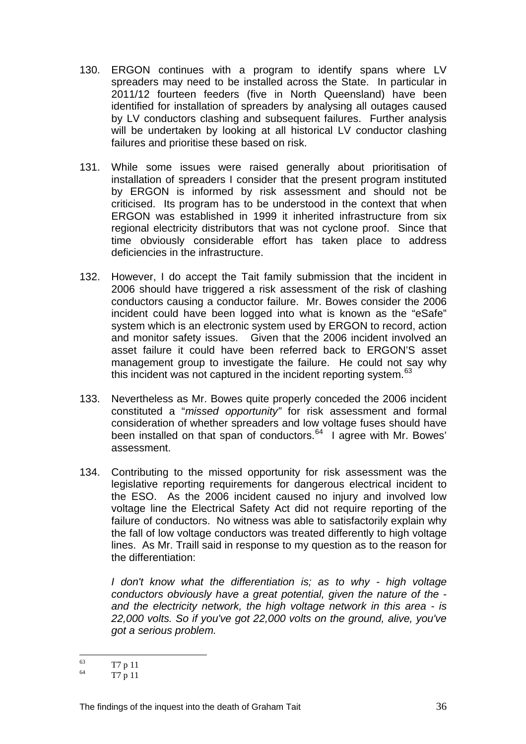- 130. ERGON continues with a program to identify spans where LV spreaders may need to be installed across the State. In particular in 2011/12 fourteen feeders (five in North Queensland) have been identified for installation of spreaders by analysing all outages caused by LV conductors clashing and subsequent failures. Further analysis will be undertaken by looking at all historical LV conductor clashing failures and prioritise these based on risk.
- 131. While some issues were raised generally about prioritisation of installation of spreaders I consider that the present program instituted by ERGON is informed by risk assessment and should not be criticised. Its program has to be understood in the context that when ERGON was established in 1999 it inherited infrastructure from six regional electricity distributors that was not cyclone proof. Since that time obviously considerable effort has taken place to address deficiencies in the infrastructure.
- 132. However, I do accept the Tait family submission that the incident in 2006 should have triggered a risk assessment of the risk of clashing conductors causing a conductor failure. Mr. Bowes consider the 2006 incident could have been logged into what is known as the "eSafe" system which is an electronic system used by ERGON to record, action and monitor safety issues. Given that the 2006 incident involved an asset failure it could have been referred back to ERGON'S asset management group to investigate the failure. He could not say why this incident was not captured in the incident reporting system.<sup>[63](#page-36-0)</sup>
- 133. Nevertheless as Mr. Bowes quite properly conceded the 2006 incident constituted a "*missed opportunity"* for risk assessment and formal consideration of whether spreaders and low voltage fuses should have been installed on that span of conductors.<sup>[64](#page-36-1)</sup> I agree with Mr. Bowes' assessment.
- 134. Contributing to the missed opportunity for risk assessment was the legislative reporting requirements for dangerous electrical incident to the ESO. As the 2006 incident caused no injury and involved low voltage line the Electrical Safety Act did not require reporting of the failure of conductors. No witness was able to satisfactorily explain why the fall of low voltage conductors was treated differently to high voltage lines. As Mr. Traill said in response to my question as to the reason for the differentiation:

*I don't know what the differentiation is; as to why - high voltage conductors obviously have a great potential, given the nature of the and the electricity network, the high voltage network in this area - is 22,000 volts. So if you've got 22,000 volts on the ground, alive, you've got a serious problem.* 

<span id="page-36-0"></span> $63$  $\frac{63}{64}$  T7 p 11

<span id="page-36-1"></span>T7 p 11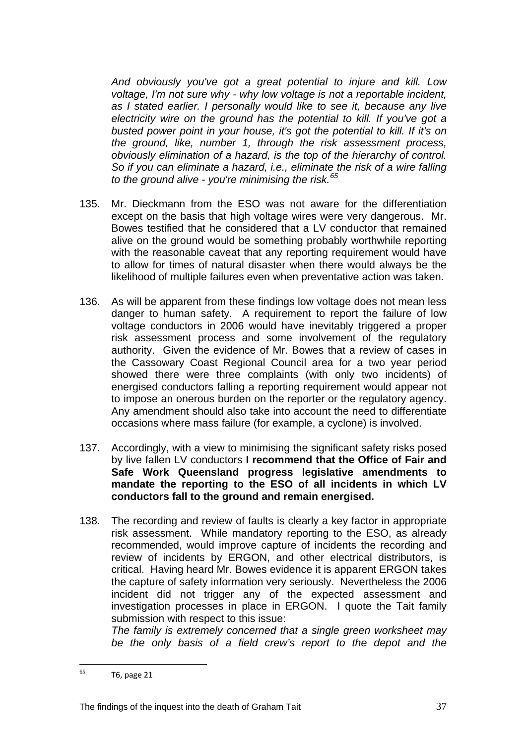*And obviously you've got a great potential to injure and kill. Low voltage, I'm not sure why - why low voltage is not a reportable incident, as I stated earlier. I personally would like to see it, because any live electricity wire on the ground has the potential to kill. If you've got a busted power point in your house, it's got the potential to kill. If it's on the ground, like, number 1, through the risk assessment process, obviously elimination of a hazard, is the top of the hierarchy of control. So if you can eliminate a hazard, i.e., eliminate the risk of a wire falling to the ground alive - you're minimising the risk.[65](#page-37-0)* 

- 135. Mr. Dieckmann from the ESO was not aware for the differentiation except on the basis that high voltage wires were very dangerous. Mr. Bowes testified that he considered that a LV conductor that remained alive on the ground would be something probably worthwhile reporting with the reasonable caveat that any reporting requirement would have to allow for times of natural disaster when there would always be the likelihood of multiple failures even when preventative action was taken.
- 136. As will be apparent from these findings low voltage does not mean less danger to human safety. A requirement to report the failure of low voltage conductors in 2006 would have inevitably triggered a proper risk assessment process and some involvement of the regulatory authority. Given the evidence of Mr. Bowes that a review of cases in the Cassowary Coast Regional Council area for a two year period showed there were three complaints (with only two incidents) of energised conductors falling a reporting requirement would appear not to impose an onerous burden on the reporter or the regulatory agency. Any amendment should also take into account the need to differentiate occasions where mass failure (for example, a cyclone) is involved.
- 137. Accordingly, with a view to minimising the significant safety risks posed by live fallen LV conductors **I recommend that the Office of Fair and Safe Work Queensland progress legislative amendments to mandate the reporting to the ESO of all incidents in which LV conductors fall to the ground and remain energised.**
- 138. The recording and review of faults is clearly a key factor in appropriate risk assessment. While mandatory reporting to the ESO, as already recommended, would improve capture of incidents the recording and review of incidents by ERGON, and other electrical distributors, is critical. Having heard Mr. Bowes evidence it is apparent ERGON takes the capture of safety information very seriously. Nevertheless the 2006 incident did not trigger any of the expected assessment and investigation processes in place in ERGON. I quote the Tait family submission with respect to this issue:

*The family is extremely concerned that a single green worksheet may be the only basis of a field crew's report to the depot and the* 

<span id="page-37-0"></span><sup>65</sup>  $T6$ , page 21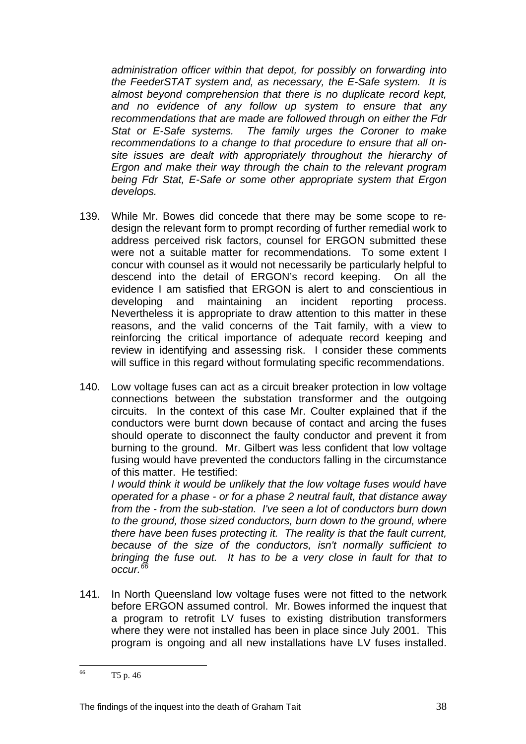*administration officer within that depot, for possibly on forwarding into the FeederSTAT system and, as necessary, the E-Safe system. It is almost beyond comprehension that there is no duplicate record kept, and no evidence of any follow up system to ensure that any recommendations that are made are followed through on either the Fdr Stat or E-Safe systems. The family urges the Coroner to make recommendations to a change to that procedure to ensure that all onsite issues are dealt with appropriately throughout the hierarchy of Ergon and make their way through the chain to the relevant program being Fdr Stat, E-Safe or some other appropriate system that Ergon develops.* 

- 139. While Mr. Bowes did concede that there may be some scope to redesign the relevant form to prompt recording of further remedial work to address perceived risk factors, counsel for ERGON submitted these were not a suitable matter for recommendations. To some extent I concur with counsel as it would not necessarily be particularly helpful to descend into the detail of ERGON's record keeping. On all the evidence I am satisfied that ERGON is alert to and conscientious in developing and maintaining an incident reporting process. Nevertheless it is appropriate to draw attention to this matter in these reasons, and the valid concerns of the Tait family, with a view to reinforcing the critical importance of adequate record keeping and review in identifying and assessing risk. I consider these comments will suffice in this regard without formulating specific recommendations.
- 140. Low voltage fuses can act as a circuit breaker protection in low voltage connections between the substation transformer and the outgoing circuits. In the context of this case Mr. Coulter explained that if the conductors were burnt down because of contact and arcing the fuses should operate to disconnect the faulty conductor and prevent it from burning to the ground. Mr. Gilbert was less confident that low voltage fusing would have prevented the conductors falling in the circumstance of this matter. He testified:

*I would think it would be unlikely that the low voltage fuses would have operated for a phase - or for a phase 2 neutral fault, that distance away from the - from the sub-station. I've seen a lot of conductors burn down to the ground, those sized conductors, burn down to the ground, where there have been fuses protecting it. The reality is that the fault current, because of the size of the conductors, isn't normally sufficient to bringing the fuse out. It has to be a very close in fault for that to occur.[66](#page-38-0)*

141. In North Queensland low voltage fuses were not fitted to the network before ERGON assumed control. Mr. Bowes informed the inquest that a program to retrofit LV fuses to existing distribution transformers where they were not installed has been in place since July 2001. This program is ongoing and all new installations have LV fuses installed.

<span id="page-38-0"></span><sup>66</sup> T5 p. 46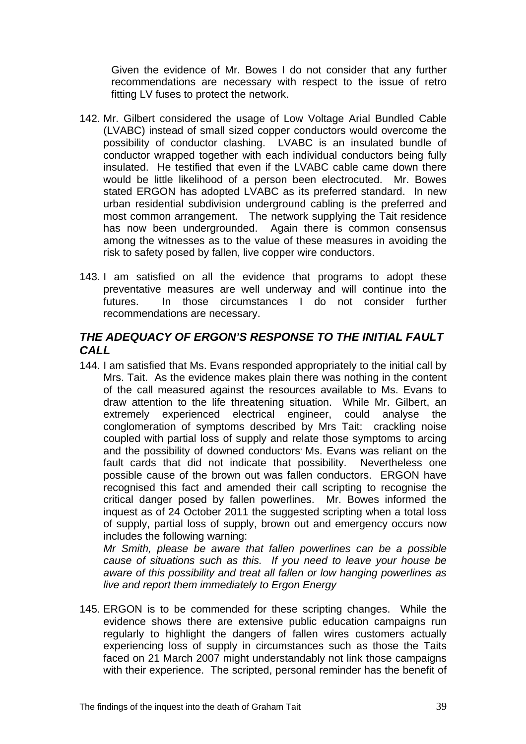Given the evidence of Mr. Bowes I do not consider that any further recommendations are necessary with respect to the issue of retro fitting LV fuses to protect the network.

- 142. Mr. Gilbert considered the usage of Low Voltage Arial Bundled Cable (LVABC) instead of small sized copper conductors would overcome the possibility of conductor clashing. LVABC is an insulated bundle of conductor wrapped together with each individual conductors being fully insulated. He testified that even if the LVABC cable came down there would be little likelihood of a person been electrocuted. Mr. Bowes stated ERGON has adopted LVABC as its preferred standard. In new urban residential subdivision underground cabling is the preferred and most common arrangement. The network supplying the Tait residence has now been undergrounded. Again there is common consensus among the witnesses as to the value of these measures in avoiding the risk to safety posed by fallen, live copper wire conductors.
- 143. I am satisfied on all the evidence that programs to adopt these preventative measures are well underway and will continue into the futures. In those circumstances I do not consider further recommendations are necessary.

## *THE ADEQUACY OF ERGON'S RESPONSE TO THE INITIAL FAULT CALL*

144. I am satisfied that Ms. Evans responded appropriately to the initial call by Mrs. Tait. As the evidence makes plain there was nothing in the content of the call measured against the resources available to Ms. Evans to draw attention to the life threatening situation. While Mr. Gilbert, an extremely experienced electrical engineer, could analyse the conglomeration of symptoms described by Mrs Tait: crackling noise coupled with partial loss of supply and relate those symptoms to arcing and the possibility of downed conductors' Ms. Evans was reliant on the fault cards that did not indicate that possibility. Nevertheless one possible cause of the brown out was fallen conductors. ERGON have recognised this fact and amended their call scripting to recognise the critical danger posed by fallen powerlines. Mr. Bowes informed the inquest as of 24 October 2011 the suggested scripting when a total loss of supply, partial loss of supply, brown out and emergency occurs now includes the following warning:

*Mr Smith, please be aware that fallen powerlines can be a possible cause of situations such as this. If you need to leave your house be aware of this possibility and treat all fallen or low hanging powerlines as live and report them immediately to Ergon Energy* 

145. ERGON is to be commended for these scripting changes. While the evidence shows there are extensive public education campaigns run regularly to highlight the dangers of fallen wires customers actually experiencing loss of supply in circumstances such as those the Taits faced on 21 March 2007 might understandably not link those campaigns with their experience. The scripted, personal reminder has the benefit of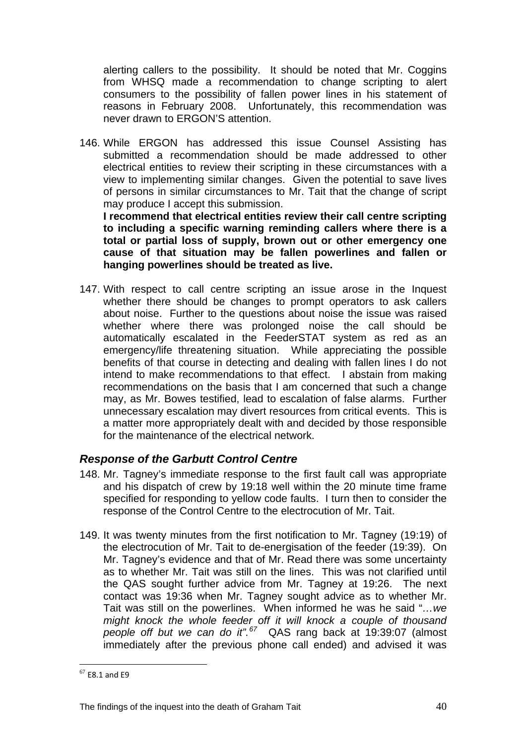alerting callers to the possibility. It should be noted that Mr. Coggins from WHSQ made a recommendation to change scripting to alert consumers to the possibility of fallen power lines in his statement of reasons in February 2008. Unfortunately, this recommendation was never drawn to ERGON'S attention.

146. While ERGON has addressed this issue Counsel Assisting has submitted a recommendation should be made addressed to other electrical entities to review their scripting in these circumstances with a view to implementing similar changes. Given the potential to save lives of persons in similar circumstances to Mr. Tait that the change of script may produce I accept this submission.

 **I recommend that electrical entities review their call centre scripting to including a specific warning reminding callers where there is a total or partial loss of supply, brown out or other emergency one cause of that situation may be fallen powerlines and fallen or hanging powerlines should be treated as live.** 

147. With respect to call centre scripting an issue arose in the Inquest whether there should be changes to prompt operators to ask callers about noise. Further to the questions about noise the issue was raised whether where there was prolonged noise the call should be automatically escalated in the FeederSTAT system as red as an emergency/life threatening situation. While appreciating the possible benefits of that course in detecting and dealing with fallen lines I do not intend to make recommendations to that effect. I abstain from making recommendations on the basis that I am concerned that such a change may, as Mr. Bowes testified, lead to escalation of false alarms. Further unnecessary escalation may divert resources from critical events. This is a matter more appropriately dealt with and decided by those responsible for the maintenance of the electrical network.

#### *Response of the Garbutt Control Centre*

- 148. Mr. Tagney's immediate response to the first fault call was appropriate and his dispatch of crew by 19:18 well within the 20 minute time frame specified for responding to yellow code faults. I turn then to consider the response of the Control Centre to the electrocution of Mr. Tait.
- 149. It was twenty minutes from the first notification to Mr. Tagney (19:19) of the electrocution of Mr. Tait to de-energisation of the feeder (19:39). On Mr. Tagney's evidence and that of Mr. Read there was some uncertainty as to whether Mr. Tait was still on the lines. This was not clarified until the QAS sought further advice from Mr. Tagney at 19:26. The next contact was 19:36 when Mr. Tagney sought advice as to whether Mr. Tait was still on the powerlines. When informed he was he said "*…we might knock the whole feeder off it will knock a couple of thousand people off but we can do it".[67](#page-40-0)* QAS rang back at 19:39:07 (almost immediately after the previous phone call ended) and advised it was

<span id="page-40-0"></span> $\overline{a}$  $<sup>67</sup>$  E8.1 and E9</sup>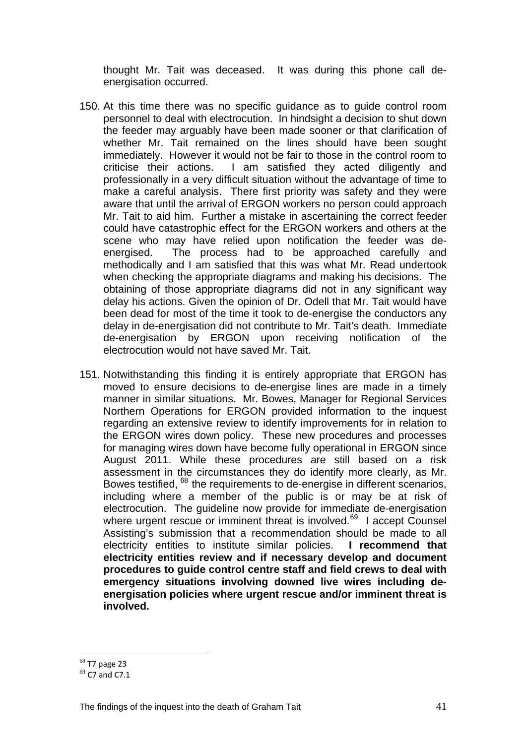thought Mr. Tait was deceased. It was during this phone call deenergisation occurred.

- 150. At this time there was no specific guidance as to guide control room personnel to deal with electrocution. In hindsight a decision to shut down the feeder may arguably have been made sooner or that clarification of whether Mr. Tait remained on the lines should have been sought immediately. However it would not be fair to those in the control room to criticise their actions. I am satisfied they acted diligently and professionally in a very difficult situation without the advantage of time to make a careful analysis. There first priority was safety and they were aware that until the arrival of ERGON workers no person could approach Mr. Tait to aid him. Further a mistake in ascertaining the correct feeder could have catastrophic effect for the ERGON workers and others at the scene who may have relied upon notification the feeder was deenergised. The process had to be approached carefully and methodically and I am satisfied that this was what Mr. Read undertook when checking the appropriate diagrams and making his decisions. The obtaining of those appropriate diagrams did not in any significant way delay his actions. Given the opinion of Dr. Odell that Mr. Tait would have been dead for most of the time it took to de-energise the conductors any delay in de-energisation did not contribute to Mr. Tait's death. Immediate de-energisation by ERGON upon receiving notification of the electrocution would not have saved Mr. Tait.
- 151. Notwithstanding this finding it is entirely appropriate that ERGON has moved to ensure decisions to de-energise lines are made in a timely manner in similar situations. Mr. Bowes, Manager for Regional Services Northern Operations for ERGON provided information to the inquest regarding an extensive review to identify improvements for in relation to the ERGON wires down policy. These new procedures and processes for managing wires down have become fully operational in ERGON since August 2011. While these procedures are still based on a risk assessment in the circumstances they do identify more clearly, as Mr. Bowes testified,  $68$  the requirements to de-energise in different scenarios, including where a member of the public is or may be at risk of electrocution. The guideline now provide for immediate de-energisation where urgent rescue or imminent threat is involved.<sup>[69](#page-41-1)</sup> I accept Counsel Assisting's submission that a recommendation should be made to all electricity entities to institute similar policies. **I recommend that electricity entities review and if necessary develop and document procedures to guide control centre staff and field crews to deal with emergency situations involving downed live wires including deenergisation policies where urgent rescue and/or imminent threat is involved.**

 $\overline{a}$ 

<span id="page-41-1"></span><span id="page-41-0"></span> $^{68}$  T7 page 23<br> $^{69}$  C7 and C7.1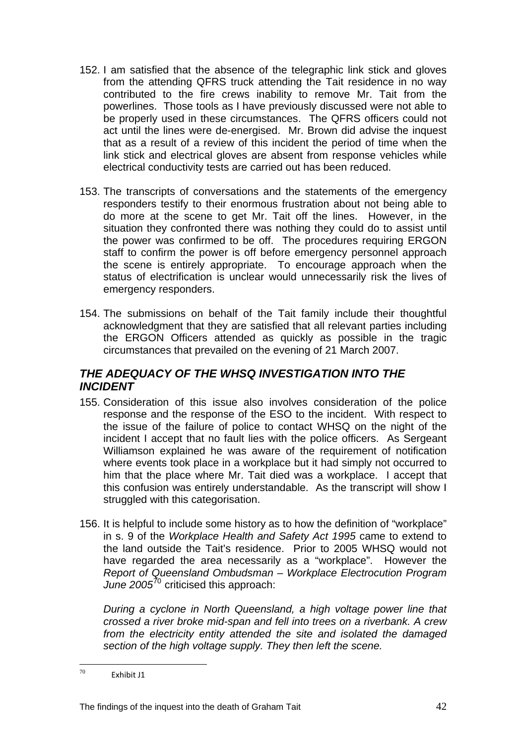- 152. I am satisfied that the absence of the telegraphic link stick and gloves from the attending QFRS truck attending the Tait residence in no way contributed to the fire crews inability to remove Mr. Tait from the powerlines. Those tools as I have previously discussed were not able to be properly used in these circumstances. The QFRS officers could not act until the lines were de-energised. Mr. Brown did advise the inquest that as a result of a review of this incident the period of time when the link stick and electrical gloves are absent from response vehicles while electrical conductivity tests are carried out has been reduced.
- 153. The transcripts of conversations and the statements of the emergency responders testify to their enormous frustration about not being able to do more at the scene to get Mr. Tait off the lines. However, in the situation they confronted there was nothing they could do to assist until the power was confirmed to be off. The procedures requiring ERGON staff to confirm the power is off before emergency personnel approach the scene is entirely appropriate. To encourage approach when the status of electrification is unclear would unnecessarily risk the lives of emergency responders.
- 154. The submissions on behalf of the Tait family include their thoughtful acknowledgment that they are satisfied that all relevant parties including the ERGON Officers attended as quickly as possible in the tragic circumstances that prevailed on the evening of 21 March 2007.

## *THE ADEQUACY OF THE WHSQ INVESTIGATION INTO THE INCIDENT*

- 155. Consideration of this issue also involves consideration of the police response and the response of the ESO to the incident. With respect to the issue of the failure of police to contact WHSQ on the night of the incident I accept that no fault lies with the police officers. As Sergeant Williamson explained he was aware of the requirement of notification where events took place in a workplace but it had simply not occurred to him that the place where Mr. Tait died was a workplace. I accept that this confusion was entirely understandable. As the transcript will show I struggled with this categorisation.
- 156. It is helpful to include some history as to how the definition of "workplace" in s. 9 of the *Workplace Health and Safety Act 1995* came to extend to the land outside the Tait's residence. Prior to 2005 WHSQ would not have regarded the area necessarily as a "workplace". However the *Report of Queensland Ombudsman – Workplace Electrocution Program June 2005*[70](#page-42-0) criticised this approach:

 *During a cyclone in North Queensland, a high voltage power line that crossed a river broke mid-span and fell into trees on a riverbank. A crew from the electricity entity attended the site and isolated the damaged section of the high voltage supply. They then left the scene.* 

<span id="page-42-0"></span><sup>70</sup> Exhibit J1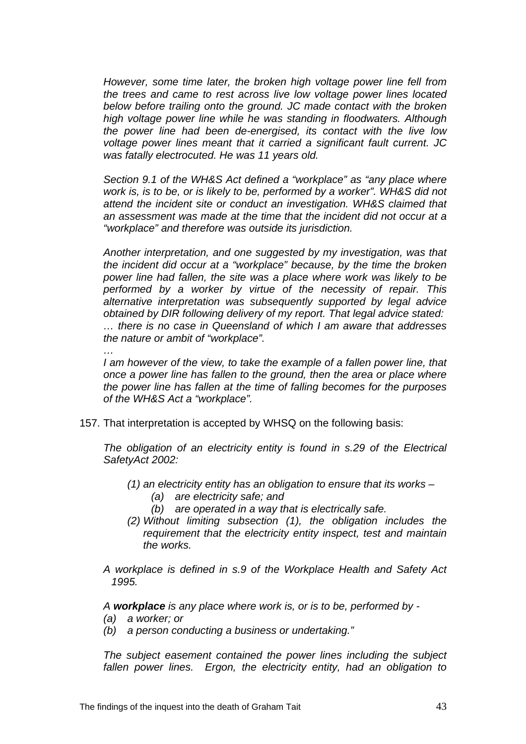*However, some time later, the broken high voltage power line fell from the trees and came to rest across live low voltage power lines located below before trailing onto the ground. JC made contact with the broken high voltage power line while he was standing in floodwaters. Although the power line had been de-energised, its contact with the live low voltage power lines meant that it carried a significant fault current. JC was fatally electrocuted. He was 11 years old.* 

 *Section 9.1 of the WH&S Act defined a "workplace" as "any place where work is, is to be, or is likely to be, performed by a worker". WH&S did not attend the incident site or conduct an investigation. WH&S claimed that an assessment was made at the time that the incident did not occur at a "workplace" and therefore was outside its jurisdiction.* 

 *Another interpretation, and one suggested by my investigation, was that the incident did occur at a "workplace" because, by the time the broken power line had fallen, the site was a place where work was likely to be performed by a worker by virtue of the necessity of repair. This alternative interpretation was subsequently supported by legal advice obtained by DIR following delivery of my report. That legal advice stated: … there is no case in Queensland of which I am aware that addresses the nature or ambit of "workplace".* 

 *I am however of the view, to take the example of a fallen power line, that once a power line has fallen to the ground, then the area or place where the power line has fallen at the time of falling becomes for the purposes of the WH&S Act a "workplace".* 

157. That interpretation is accepted by WHSQ on the following basis:

*The obligation of an electricity entity is found in s.29 of the Electrical SafetyAct 2002:* 

- *(1) an electricity entity has an obligation to ensure that its works* 
	- *(a) are electricity safe; and*
	- *(b) are operated in a way that is electrically safe.*
- *(2) Without limiting subsection (1), the obligation includes the requirement that the electricity entity inspect, test and maintain the works.*
- *A workplace is defined in s.9 of the Workplace Health and Safety Act 1995.*

*A workplace is any place where work is, or is to be, performed by -* 

*(a) a worker; or* 

 *…* 

*(b) a person conducting a business or undertaking."* 

 *The subject easement contained the power lines including the subject fallen power lines. Ergon, the electricity entity, had an obligation to*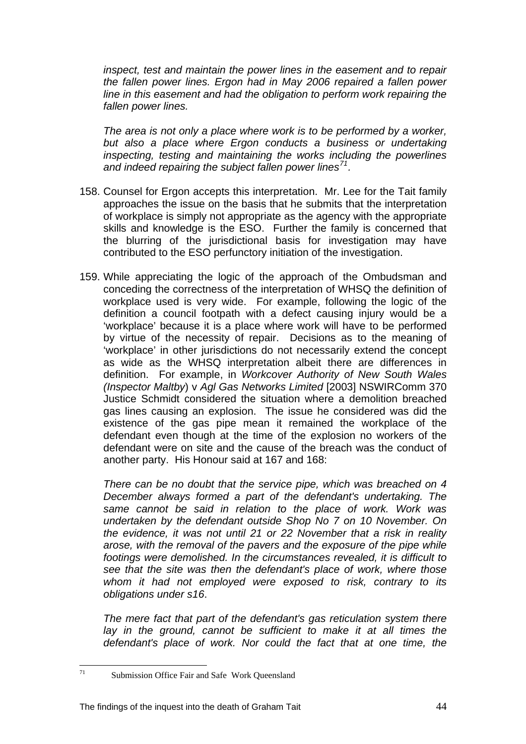*inspect, test and maintain the power lines in the easement and to repair the fallen power lines. Ergon had in May 2006 repaired a fallen power line in this easement and had the obligation to perform work repairing the fallen power lines.* 

*The area is not only a place where work is to be performed by a worker, but also a place where Ergon conducts a business or undertaking inspecting, testing and maintaining the works including the powerlines and indeed repairing the subject fallen power lines[71](#page-44-0).*

- 158. Counsel for Ergon accepts this interpretation. Mr. Lee for the Tait family approaches the issue on the basis that he submits that the interpretation of workplace is simply not appropriate as the agency with the appropriate skills and knowledge is the ESO. Further the family is concerned that the blurring of the jurisdictional basis for investigation may have contributed to the ESO perfunctory initiation of the investigation.
- 159. While appreciating the logic of the approach of the Ombudsman and conceding the correctness of the interpretation of WHSQ the definition of workplace used is very wide. For example, following the logic of the definition a council footpath with a defect causing injury would be a 'workplace' because it is a place where work will have to be performed by virtue of the necessity of repair. Decisions as to the meaning of 'workplace' in other jurisdictions do not necessarily extend the concept as wide as the WHSQ interpretation albeit there are differences in definition. For example, in *Workcover Authority of New South Wales (Inspector Maltby*) v *Agl Gas Networks Limited* [2003] NSWIRComm 370 Justice Schmidt considered the situation where a demolition breached gas lines causing an explosion. The issue he considered was did the existence of the gas pipe mean it remained the workplace of the defendant even though at the time of the explosion no workers of the defendant were on site and the cause of the breach was the conduct of another party. His Honour said at 167 and 168:

 *There can be no doubt that the service pipe, which was breached on 4 December always formed a part of the defendant's undertaking. The same cannot be said in relation to the place of work. Work was undertaken by the defendant outside Shop No 7 on 10 November. On the evidence, it was not until 21 or 22 November that a risk in reality arose, with the removal of the pavers and the exposure of the pipe while footings were demolished. In the circumstances revealed, it is difficult to see that the site was then the defendant's place of work, where those whom it had not employed were exposed to risk, contrary to its obligations under s16*.

 *The mere fact that part of the defendant's gas reticulation system there*  lay in the ground, cannot be sufficient to make it at all times the *defendant's place of work. Nor could the fact that at one time, the* 

<span id="page-44-0"></span> $71$ Submission Office Fair and Safe Work Queensland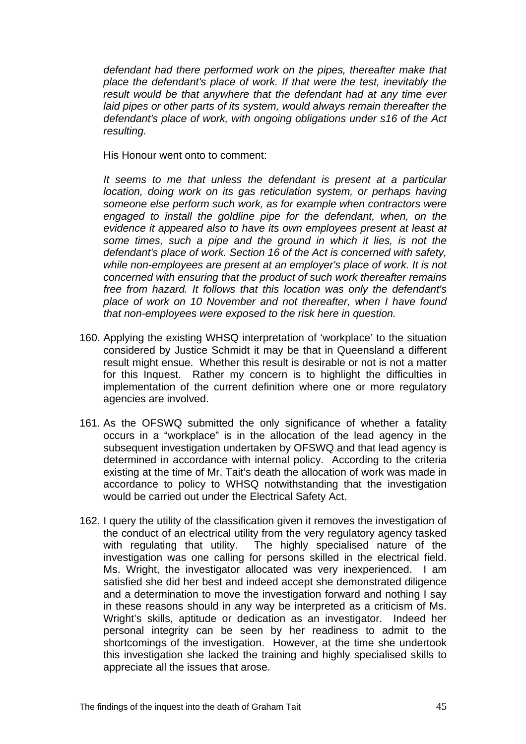*defendant had there performed work on the pipes, thereafter make that place the defendant's place of work. If that were the test, inevitably the result would be that anywhere that the defendant had at any time ever laid pipes or other parts of its system, would always remain thereafter the defendant's place of work, with ongoing obligations under s16 of the Act resulting.* 

His Honour went onto to comment:

 *It seems to me that unless the defendant is present at a particular location, doing work on its gas reticulation system, or perhaps having someone else perform such work, as for example when contractors were engaged to install the goldline pipe for the defendant, when, on the evidence it appeared also to have its own employees present at least at some times, such a pipe and the ground in which it lies, is not the defendant's place of work. Section 16 of the Act is concerned with safety, while non-employees are present at an employer's place of work. It is not concerned with ensuring that the product of such work thereafter remains free from hazard. It follows that this location was only the defendant's place of work on 10 November and not thereafter, when I have found that non-employees were exposed to the risk here in question.* 

- 160. Applying the existing WHSQ interpretation of 'workplace' to the situation considered by Justice Schmidt it may be that in Queensland a different result might ensue. Whether this result is desirable or not is not a matter for this Inquest. Rather my concern is to highlight the difficulties in implementation of the current definition where one or more regulatory agencies are involved.
- 161. As the OFSWQ submitted the only significance of whether a fatality occurs in a "workplace" is in the allocation of the lead agency in the subsequent investigation undertaken by OFSWQ and that lead agency is determined in accordance with internal policy. According to the criteria existing at the time of Mr. Tait's death the allocation of work was made in accordance to policy to WHSQ notwithstanding that the investigation would be carried out under the Electrical Safety Act.
- 162. I query the utility of the classification given it removes the investigation of the conduct of an electrical utility from the very regulatory agency tasked with regulating that utility. The highly specialised nature of the investigation was one calling for persons skilled in the electrical field. Ms. Wright, the investigator allocated was very inexperienced. I am satisfied she did her best and indeed accept she demonstrated diligence and a determination to move the investigation forward and nothing I say in these reasons should in any way be interpreted as a criticism of Ms. Wright's skills, aptitude or dedication as an investigator. Indeed her personal integrity can be seen by her readiness to admit to the shortcomings of the investigation. However, at the time she undertook this investigation she lacked the training and highly specialised skills to appreciate all the issues that arose.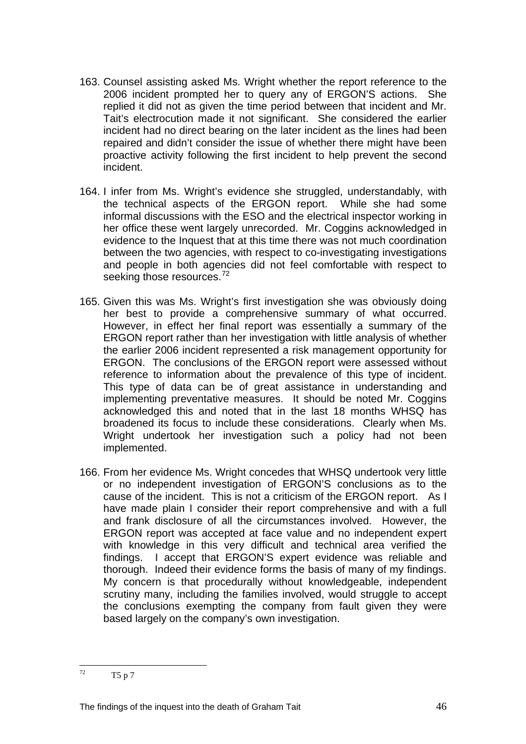- 163. Counsel assisting asked Ms. Wright whether the report reference to the 2006 incident prompted her to query any of ERGON'S actions. She replied it did not as given the time period between that incident and Mr. Tait's electrocution made it not significant. She considered the earlier incident had no direct bearing on the later incident as the lines had been repaired and didn't consider the issue of whether there might have been proactive activity following the first incident to help prevent the second incident.
- 164. I infer from Ms. Wright's evidence she struggled, understandably, with the technical aspects of the ERGON report. While she had some informal discussions with the ESO and the electrical inspector working in her office these went largely unrecorded. Mr. Coggins acknowledged in evidence to the Inquest that at this time there was not much coordination between the two agencies, with respect to co-investigating investigations and people in both agencies did not feel comfortable with respect to seeking those resources.<sup>[72](#page-46-0)</sup>
- 165. Given this was Ms. Wright's first investigation she was obviously doing her best to provide a comprehensive summary of what occurred. However, in effect her final report was essentially a summary of the ERGON report rather than her investigation with little analysis of whether the earlier 2006 incident represented a risk management opportunity for ERGON. The conclusions of the ERGON report were assessed without reference to information about the prevalence of this type of incident. This type of data can be of great assistance in understanding and implementing preventative measures. It should be noted Mr. Coggins acknowledged this and noted that in the last 18 months WHSQ has broadened its focus to include these considerations. Clearly when Ms. Wright undertook her investigation such a policy had not been implemented.
- 166. From her evidence Ms. Wright concedes that WHSQ undertook very little or no independent investigation of ERGON'S conclusions as to the cause of the incident. This is not a criticism of the ERGON report. As I have made plain I consider their report comprehensive and with a full and frank disclosure of all the circumstances involved. However, the ERGON report was accepted at face value and no independent expert with knowledge in this very difficult and technical area verified the findings. I accept that ERGON'S expert evidence was reliable and thorough. Indeed their evidence forms the basis of many of my findings. My concern is that procedurally without knowledgeable, independent scrutiny many, including the families involved, would struggle to accept the conclusions exempting the company from fault given they were based largely on the company's own investigation.

<span id="page-46-0"></span> $72$ T5 p 7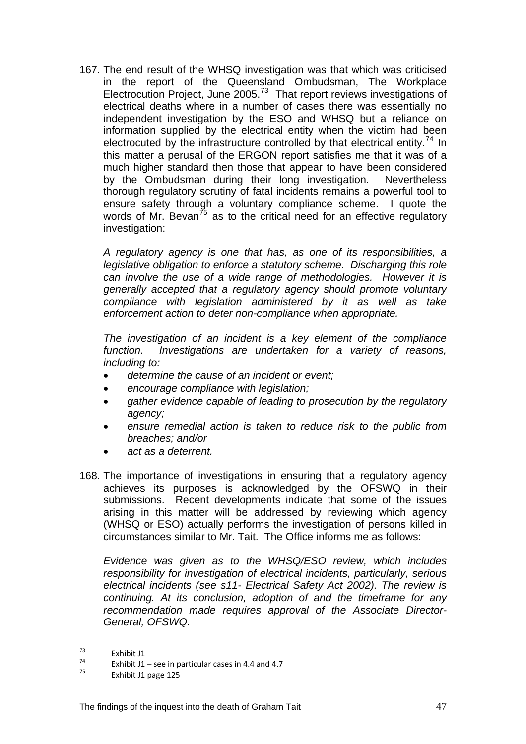167. The end result of the WHSQ investigation was that which was criticised in the report of the Queensland Ombudsman, The Workplace Electrocution Project, June 2005.<sup>[73](#page-47-0)</sup> That report reviews investigations of electrical deaths where in a number of cases there was essentially no independent investigation by the ESO and WHSQ but a reliance on information supplied by the electrical entity when the victim had been electrocuted by the infrastructure controlled by that electrical entity.<sup>[74](#page-47-1)</sup> In this matter a perusal of the ERGON report satisfies me that it was of a much higher standard then those that appear to have been considered by the Ombudsman during their long investigation. Nevertheless thorough regulatory scrutiny of fatal incidents remains a powerful tool to ensure safety through a voluntary compliance scheme. I quote the words of Mr. Bevan<sup>[75](#page-47-2)</sup> as to the critical need for an effective regulatory investigation:

*A regulatory agency is one that has, as one of its responsibilities, a legislative obligation to enforce a statutory scheme. Discharging this role can involve the use of a wide range of methodologies. However it is generally accepted that a regulatory agency should promote voluntary compliance with legislation administered by it as well as take enforcement action to deter non-compliance when appropriate.* 

*The investigation of an incident is a key element of the compliance function. Investigations are undertaken for a variety of reasons, including to:* 

- *determine the cause of an incident or event;*
- *encourage compliance with legislation;*
- *gather evidence capable of leading to prosecution by the regulatory agency;*
- *ensure remedial action is taken to reduce risk to the public from breaches; and/or*
- *act as a deterrent.*
- 168. The importance of investigations in ensuring that a regulatory agency achieves its purposes is acknowledged by the OFSWQ in their submissions. Recent developments indicate that some of the issues arising in this matter will be addressed by reviewing which agency (WHSQ or ESO) actually performs the investigation of persons killed in circumstances similar to Mr. Tait. The Office informs me as follows:

 *Evidence was given as to the WHSQ/ESO review, which includes responsibility for investigation of electrical incidents, particularly, serious electrical incidents (see s11- Electrical Safety Act 2002). The review is continuing. At its conclusion, adoption of and the timeframe for any recommendation made requires approval of the Associate Director-General, OFSWQ.* 

<sup>73</sup> 

<span id="page-47-1"></span><span id="page-47-0"></span><sup>&</sup>lt;sup>73</sup> Exhibit J1<br>
<sup>74</sup> Exhibit J1 – see in particular cases in 4.4 and 4.7<br>
<sup>75</sup> Exhibit J1 page 125

<span id="page-47-2"></span>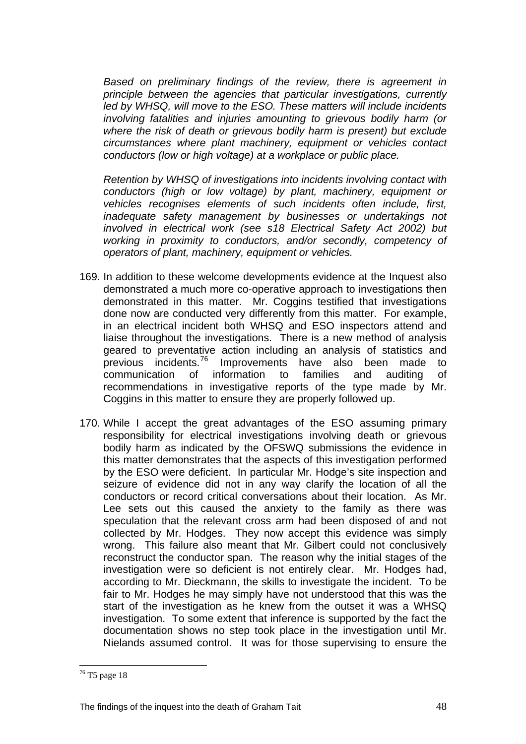*Based on preliminary findings of the review, there is agreement in principle between the agencies that particular investigations, currently led by WHSQ, will move to the ESO. These matters will include incidents involving fatalities and injuries amounting to grievous bodily harm (or where the risk of death or grievous bodily harm is present) but exclude circumstances where plant machinery, equipment or vehicles contact conductors (low or high voltage) at a workplace or public place.* 

 *Retention by WHSQ of investigations into incidents involving contact with conductors (high or low voltage) by plant, machinery, equipment or vehicles recognises elements of such incidents often include, first, inadequate safety management by businesses or undertakings not involved in electrical work (see s18 Electrical Safety Act 2002) but working in proximity to conductors, and/or secondly, competency of operators of plant, machinery, equipment or vehicles.* 

- 169. In addition to these welcome developments evidence at the Inquest also demonstrated a much more co-operative approach to investigations then demonstrated in this matter. Mr. Coggins testified that investigations done now are conducted very differently from this matter. For example, in an electrical incident both WHSQ and ESO inspectors attend and liaise throughout the investigations. There is a new method of analysis geared to preventative action including an analysis of statistics and previous incidents. $76$  Improvements have also been made to communication of information to families and auditing of recommendations in investigative reports of the type made by Mr. Coggins in this matter to ensure they are properly followed up.
- 170. While I accept the great advantages of the ESO assuming primary responsibility for electrical investigations involving death or grievous bodily harm as indicated by the OFSWQ submissions the evidence in this matter demonstrates that the aspects of this investigation performed by the ESO were deficient. In particular Mr. Hodge's site inspection and seizure of evidence did not in any way clarify the location of all the conductors or record critical conversations about their location. As Mr. Lee sets out this caused the anxiety to the family as there was speculation that the relevant cross arm had been disposed of and not collected by Mr. Hodges. They now accept this evidence was simply wrong. This failure also meant that Mr. Gilbert could not conclusively reconstruct the conductor span. The reason why the initial stages of the investigation were so deficient is not entirely clear. Mr. Hodges had, according to Mr. Dieckmann, the skills to investigate the incident. To be fair to Mr. Hodges he may simply have not understood that this was the start of the investigation as he knew from the outset it was a WHSQ investigation. To some extent that inference is supported by the fact the documentation shows no step took place in the investigation until Mr. Nielands assumed control. It was for those supervising to ensure the

 $\overline{a}$ 

<span id="page-48-0"></span><sup>&</sup>lt;sup>76</sup> T5 page 18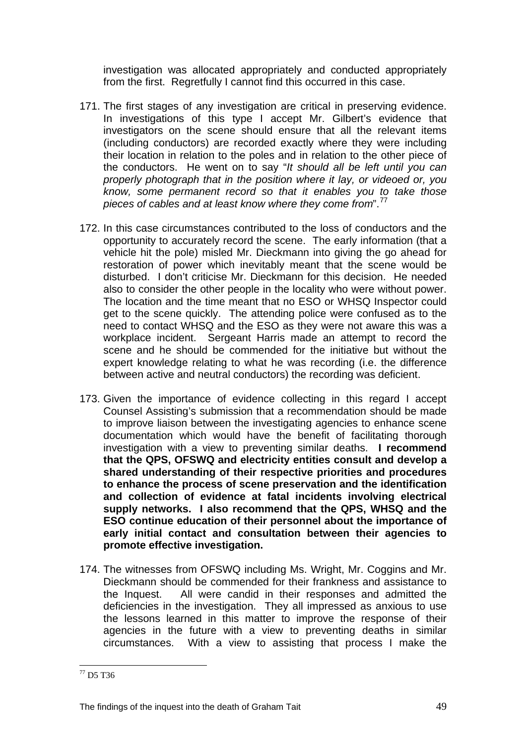investigation was allocated appropriately and conducted appropriately from the first. Regretfully I cannot find this occurred in this case.

- 171. The first stages of any investigation are critical in preserving evidence. In investigations of this type I accept Mr. Gilbert's evidence that investigators on the scene should ensure that all the relevant items (including conductors) are recorded exactly where they were including their location in relation to the poles and in relation to the other piece of the conductors. He went on to say "*It should all be left until you can properly photograph that in the position where it lay, or videoed or, you know, some permanent record so that it enables you to take those pieces of cables and at least know where they come from*".[77](#page-49-0)
- 172. In this case circumstances contributed to the loss of conductors and the opportunity to accurately record the scene. The early information (that a vehicle hit the pole) misled Mr. Dieckmann into giving the go ahead for restoration of power which inevitably meant that the scene would be disturbed. I don't criticise Mr. Dieckmann for this decision. He needed also to consider the other people in the locality who were without power. The location and the time meant that no ESO or WHSQ Inspector could get to the scene quickly. The attending police were confused as to the need to contact WHSQ and the ESO as they were not aware this was a workplace incident. Sergeant Harris made an attempt to record the scene and he should be commended for the initiative but without the expert knowledge relating to what he was recording (i.e. the difference between active and neutral conductors) the recording was deficient.
- 173. Given the importance of evidence collecting in this regard I accept Counsel Assisting's submission that a recommendation should be made to improve liaison between the investigating agencies to enhance scene documentation which would have the benefit of facilitating thorough investigation with a view to preventing similar deaths. **I recommend that the QPS, OFSWQ and electricity entities consult and develop a shared understanding of their respective priorities and procedures to enhance the process of scene preservation and the identification and collection of evidence at fatal incidents involving electrical supply networks. I also recommend that the QPS, WHSQ and the ESO continue education of their personnel about the importance of early initial contact and consultation between their agencies to promote effective investigation.**
- 174. The witnesses from OFSWQ including Ms. Wright, Mr. Coggins and Mr. Dieckmann should be commended for their frankness and assistance to the Inquest. All were candid in their responses and admitted the deficiencies in the investigation. They all impressed as anxious to use the lessons learned in this matter to improve the response of their agencies in the future with a view to preventing deaths in similar circumstances. With a view to assisting that process I make the

 $\overline{a}$ 

<span id="page-49-0"></span><sup>77</sup> D5 T36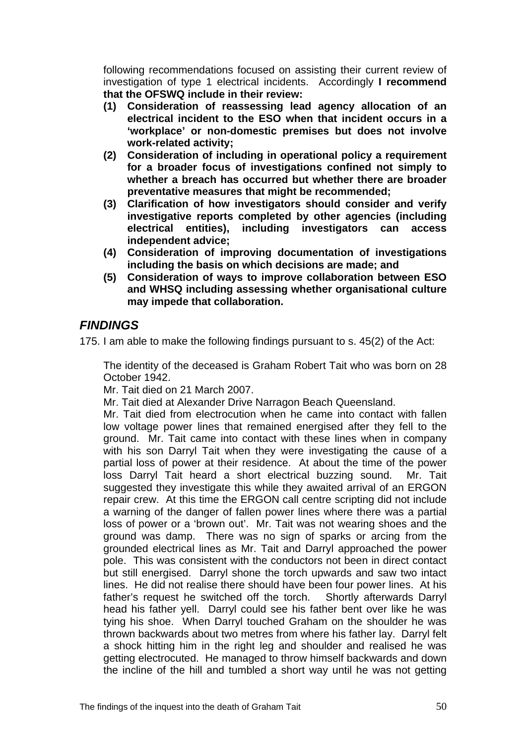following recommendations focused on assisting their current review of investigation of type 1 electrical incidents. Accordingly **I recommend that the OFSWQ include in their review:** 

- **(1) Consideration of reassessing lead agency allocation of an electrical incident to the ESO when that incident occurs in a 'workplace' or non-domestic premises but does not involve work-related activity;**
- **(2) Consideration of including in operational policy a requirement for a broader focus of investigations confined not simply to whether a breach has occurred but whether there are broader preventative measures that might be recommended;**
- **(3) Clarification of how investigators should consider and verify investigative reports completed by other agencies (including electrical entities), including investigators can access independent advice;**
- **(4) Consideration of improving documentation of investigations including the basis on which decisions are made; and**
- **(5) Consideration of ways to improve collaboration between ESO and WHSQ including assessing whether organisational culture may impede that collaboration.**

## *FINDINGS*

175. I am able to make the following findings pursuant to s. 45(2) of the Act:

 The identity of the deceased is Graham Robert Tait who was born on 28 October 1942.

Mr. Tait died on 21 March 2007.

Mr. Tait died at Alexander Drive Narragon Beach Queensland.

 Mr. Tait died from electrocution when he came into contact with fallen low voltage power lines that remained energised after they fell to the ground. Mr. Tait came into contact with these lines when in company with his son Darryl Tait when they were investigating the cause of a partial loss of power at their residence. At about the time of the power loss Darryl Tait heard a short electrical buzzing sound. Mr. Tait suggested they investigate this while they awaited arrival of an ERGON repair crew. At this time the ERGON call centre scripting did not include a warning of the danger of fallen power lines where there was a partial loss of power or a 'brown out'. Mr. Tait was not wearing shoes and the ground was damp. There was no sign of sparks or arcing from the grounded electrical lines as Mr. Tait and Darryl approached the power pole. This was consistent with the conductors not been in direct contact but still energised. Darryl shone the torch upwards and saw two intact lines. He did not realise there should have been four power lines. At his father's request he switched off the torch. Shortly afterwards Darryl head his father yell. Darryl could see his father bent over like he was tying his shoe. When Darryl touched Graham on the shoulder he was thrown backwards about two metres from where his father lay. Darryl felt a shock hitting him in the right leg and shoulder and realised he was getting electrocuted. He managed to throw himself backwards and down the incline of the hill and tumbled a short way until he was not getting